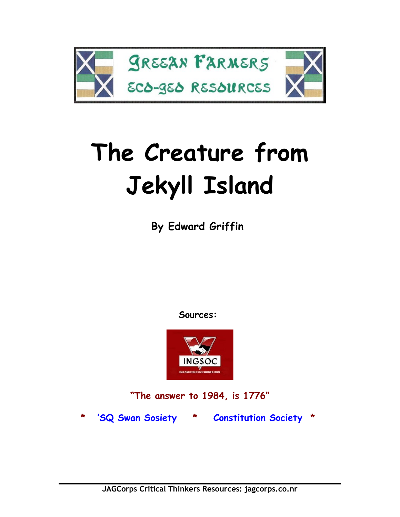

# **The Creature from Jekyll Island**

**By Edward Griffin**

**Sources:** 



**["The answer to 1984, is](http://jagcorps.co.nr/) 1776"**

**\* ['SQ Swan Sosiety](http://jagcorps.co.nr/) \* [Constitution Society](http://www.constitution.org/) \***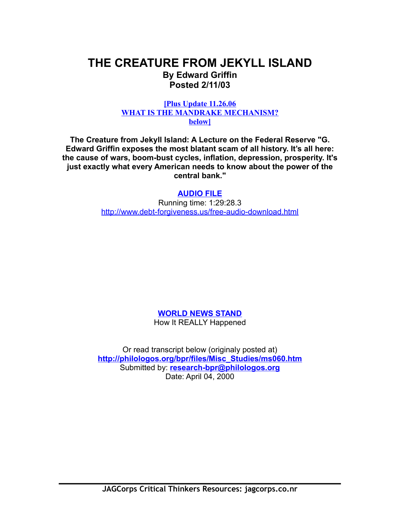# **THE CREATURE FROM JEKYLL ISLAND By Edward Griffin Posted 2/11/03**

#### **[\[Plus Update 11.26.06](http://www.theantechamber.net/UsHistDoc/CreatureJekyllIsland.html#mm) [WHAT IS THE MANDRAKE MECHANISM?](http://www.theantechamber.net/UsHistDoc/CreatureJekyllIsland.html#mm) [below\]](http://www.theantechamber.net/UsHistDoc/CreatureJekyllIsland.html#mm)**

**The Creature from Jekyll Island: A Lecture on the Federal Reserve "G. Edward Griffin exposes the most blatant scam of all history. It's all here: the cause of wars, boom-bust cycles, inflation, depression, prosperity. It's just exactly what every American needs to know about the power of the central bank."**

#### **[AUDIO FILE](http://debt-forgiveness.us/g_edward-griffin/creature-.ram)**

Running time: 1:29:28.3 <http://www.debt-forgiveness.us/free-audio-download.html>

> **[WORLD NEWS STAND](http://www.wealth4freedom.com/creature.htm)** How It REALLY Happened

Or read transcript below (originaly posted at) **[http://philologos.org/bpr/files/Misc\\_Studies/ms060.htm](http://philologos.org/bpr/files/Misc_Studies/ms060.htm)** Submitted by: **[research-bpr@philologos.org](mailto:research-bpr@philologos.org)** Date: April 04, 2000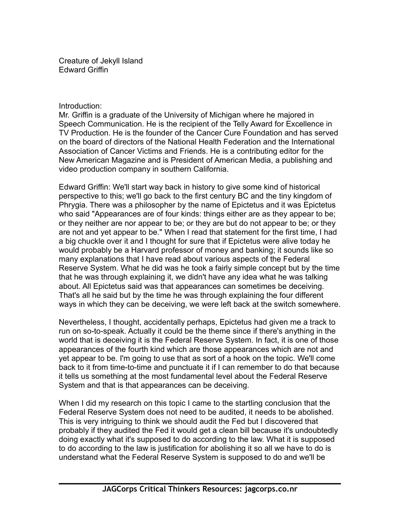Creature of Jekyll Island Edward Griffin

Introduction:

Mr. Griffin is a graduate of the University of Michigan where he majored in Speech Communication. He is the recipient of the Telly Award for Excellence in TV Production. He is the founder of the Cancer Cure Foundation and has served on the board of directors of the National Health Federation and the International Association of Cancer Victims and Friends. He is a contributing editor for the New American Magazine and is President of American Media, a publishing and video production company in southern California.

Edward Griffin: We'll start way back in history to give some kind of historical perspective to this; we'll go back to the first century BC and the tiny kingdom of Phrygia. There was a philosopher by the name of Epictetus and it was Epictetus who said "Appearances are of four kinds: things either are as they appear to be; or they neither are nor appear to be; or they are but do not appear to be; or they are not and yet appear to be." When I read that statement for the first time, I had a big chuckle over it and I thought for sure that if Epictetus were alive today he would probably be a Harvard professor of money and banking; it sounds like so many explanations that I have read about various aspects of the Federal Reserve System. What he did was he took a fairly simple concept but by the time that he was through explaining it, we didn't have any idea what he was talking about. All Epictetus said was that appearances can sometimes be deceiving. That's all he said but by the time he was through explaining the four different ways in which they can be deceiving, we were left back at the switch somewhere.

Nevertheless, I thought, accidentally perhaps, Epictetus had given me a track to run on so-to-speak. Actually it could be the theme since if there's anything in the world that is deceiving it is the Federal Reserve System. In fact, it is one of those appearances of the fourth kind which are those appearances which are not and yet appear to be. I'm going to use that as sort of a hook on the topic. We'll come back to it from time-to-time and punctuate it if I can remember to do that because it tells us something at the most fundamental level about the Federal Reserve System and that is that appearances can be deceiving.

When I did my research on this topic I came to the startling conclusion that the Federal Reserve System does not need to be audited, it needs to be abolished. This is very intriguing to think we should audit the Fed but I discovered that probably if they audited the Fed it would get a clean bill because it's undoubtedly doing exactly what it's supposed to do according to the law. What it is supposed to do according to the law is justification for abolishing it so all we have to do is understand what the Federal Reserve System is supposed to do and we'll be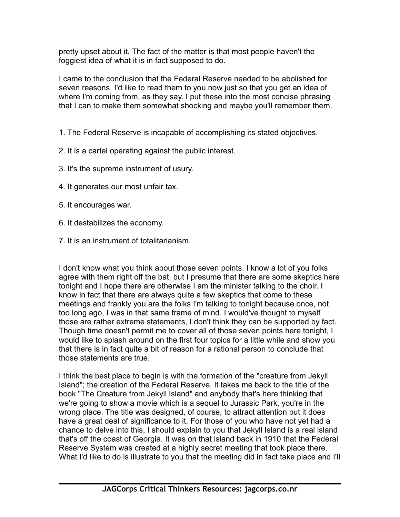pretty upset about it. The fact of the matter is that most people haven't the foggiest idea of what it is in fact supposed to do.

I came to the conclusion that the Federal Reserve needed to be abolished for seven reasons. I'd like to read them to you now just so that you get an idea of where I'm coming from, as they say. I put these into the most concise phrasing that I can to make them somewhat shocking and maybe you'll remember them.

- 1. The Federal Reserve is incapable of accomplishing its stated objectives.
- 2. It is a cartel operating against the public interest.
- 3. It's the supreme instrument of usury.
- 4. It generates our most unfair tax.
- 5. It encourages war.
- 6. It destabilizes the economy.
- 7. It is an instrument of totalitarianism.

I don't know what you think about those seven points. I know a lot of you folks agree with them right off the bat, but I presume that there are some skeptics here tonight and I hope there are otherwise I am the minister talking to the choir. I know in fact that there are always quite a few skeptics that come to these meetings and frankly you are the folks I'm talking to tonight because once, not too long ago, I was in that same frame of mind. I would've thought to myself those are rather extreme statements, I don't think they can be supported by fact. Though time doesn't permit me to cover all of those seven points here tonight, I would like to splash around on the first four topics for a little while and show you that there is in fact quite a bit of reason for a rational person to conclude that those statements are true.

I think the best place to begin is with the formation of the "creature from Jekyll Island"; the creation of the Federal Reserve. It takes me back to the title of the book "The Creature from Jekyll Island" and anybody that's here thinking that we're going to show a movie which is a sequel to Jurassic Park, you're in the wrong place. The title was designed, of course, to attract attention but it does have a great deal of significance to it. For those of you who have not yet had a chance to delve into this, I should explain to you that Jekyll Island is a real island that's off the coast of Georgia. It was on that island back in 1910 that the Federal Reserve System was created at a highly secret meeting that took place there. What I'd like to do is illustrate to you that the meeting did in fact take place and I'll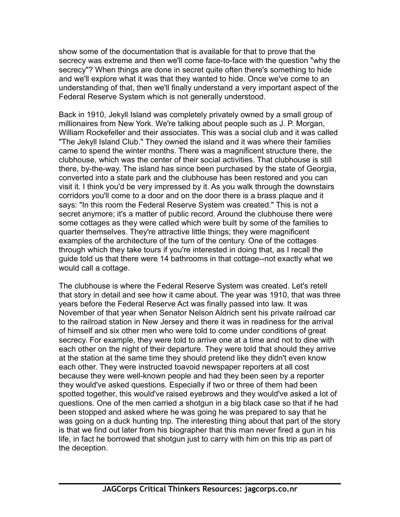show some of the documentation that is available for that to prove that the secrecy was extreme and then we'll come face-to-face with the question "why the secrecy"? When things are done in secret quite often there's something to hide and we'll explore what it was that they wanted to hide. Once we've come to an understanding of that, then we'll finally understand a very important aspect of the Federal Reserve System which is not generally understood.

Back in 1910, Jekyll Island was completely privately owned by a small group of millionaires from New York. We're talking about people such as J. P. Morgan, William Rockefeller and their associates. This was a social club and it was called "The Jekyll Island Club." They owned the island and it was where their families came to spend the winter months. There was a magnificent structure there, the clubhouse, which was the center of their social activities. That clubhouse is still there, by-the-way. The island has since been purchased by the state of Georgia, converted into a state park and the clubhouse has been restored and you can visit it. I think you'd be very impressed by it. As you walk through the downstairs corridors you'll come to a door and on the door there is a brass plaque and it says: "In this room the Federal Reserve System was created." This is not a secret anymore; it's a matter of public record. Around the clubhouse there were some cottages as they were called which were built by some of the families to quarter themselves. They're attractive little things; they were magnificent examples of the architecture of the turn of the century. One of the cottages through which they take tours if you're interested in doing that, as I recall the guide told us that there were 14 bathrooms in that cottage--not exactly what we would call a cottage.

The clubhouse is where the Federal Reserve System was created. Let's retell that story in detail and see how it came about. The year was 1910, that was three years before the Federal Reserve Act was finally passed into law. It was November of that year when Senator Nelson Aldrich sent his private railroad car to the railroad station in New Jersey and there it was in readiness for the arrival of himself and six other men who were told to come under conditions of great secrecy. For example, they were told to arrive one at a time and not to dine with each other on the night of their departure. They were told that should they arrive at the station at the same time they should pretend like they didn't even know each other. They were instructed toavoid newspaper reporters at all cost because they were well-known people and had they been seen by a reporter they would've asked questions. Especially if two or three of them had been spotted together, this would've raised eyebrows and they would've asked a lot of questions. One of the men carried a shotgun in a big black case so that if he had been stopped and asked where he was going he was prepared to say that he was going on a duck hunting trip. The interesting thing about that part of the story is that we find out later from his biographer that this man never fired a gun in his life, in fact he borrowed that shotgun just to carry with him on this trip as part of the deception.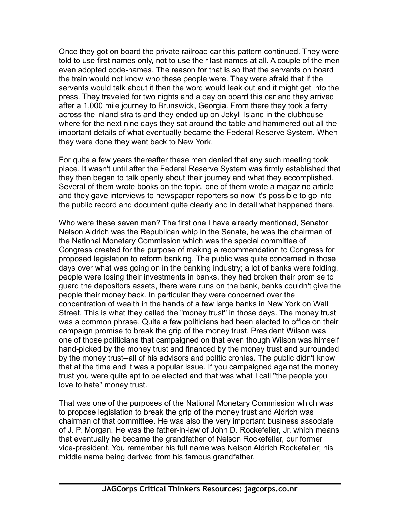Once they got on board the private railroad car this pattern continued. They were told to use first names only, not to use their last names at all. A couple of the men even adopted code-names. The reason for that is so that the servants on board the train would not know who these people were. They were afraid that if the servants would talk about it then the word would leak out and it might get into the press. They traveled for two nights and a day on board this car and they arrived after a 1,000 mile journey to Brunswick, Georgia. From there they took a ferry across the inland straits and they ended up on Jekyll Island in the clubhouse where for the next nine days they sat around the table and hammered out all the important details of what eventually became the Federal Reserve System. When they were done they went back to New York.

For quite a few years thereafter these men denied that any such meeting took place. It wasn't until after the Federal Reserve System was firmly established that they then began to talk openly about their journey and what they accomplished. Several of them wrote books on the topic, one of them wrote a magazine article and they gave interviews to newspaper reporters so now it's possible to go into the public record and document quite clearly and in detail what happened there.

Who were these seven men? The first one I have already mentioned, Senator Nelson Aldrich was the Republican whip in the Senate, he was the chairman of the National Monetary Commission which was the special committee of Congress created for the purpose of making a recommendation to Congress for proposed legislation to reform banking. The public was quite concerned in those days over what was going on in the banking industry; a lot of banks were folding, people were losing their investments in banks, they had broken their promise to guard the depositors assets, there were runs on the bank, banks couldn't give the people their money back. In particular they were concerned over the concentration of wealth in the hands of a few large banks in New York on Wall Street. This is what they called the "money trust" in those days. The money trust was a common phrase. Quite a few politicians had been elected to office on their campaign promise to break the grip of the money trust. President Wilson was one of those politicians that campaigned on that even though Wilson was himself hand-picked by the money trust and financed by the money trust and surrounded by the money trust--all of his advisors and politic cronies. The public didn't know that at the time and it was a popular issue. If you campaigned against the money trust you were quite apt to be elected and that was what I call "the people you love to hate" money trust.

That was one of the purposes of the National Monetary Commission which was to propose legislation to break the grip of the money trust and Aldrich was chairman of that committee. He was also the very important business associate of J. P. Morgan. He was the father-in-law of John D. Rockefeller, Jr. which means that eventually he became the grandfather of Nelson Rockefeller, our former vice-president. You remember his full name was Nelson Aldrich Rockefeller; his middle name being derived from his famous grandfather.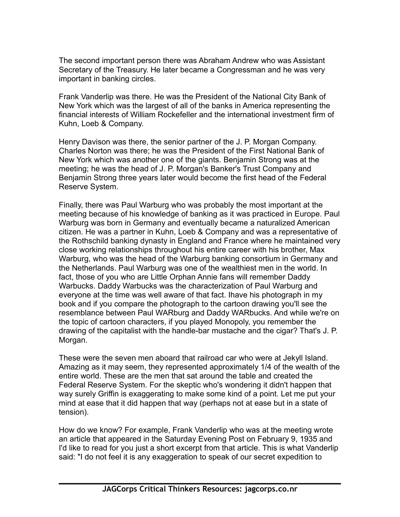The second important person there was Abraham Andrew who was Assistant Secretary of the Treasury. He later became a Congressman and he was very important in banking circles.

Frank Vanderlip was there. He was the President of the National City Bank of New York which was the largest of all of the banks in America representing the financial interests of William Rockefeller and the international investment firm of Kuhn, Loeb & Company.

Henry Davison was there, the senior partner of the J. P. Morgan Company. Charles Norton was there; he was the President of the First National Bank of New York which was another one of the giants. Benjamin Strong was at the meeting; he was the head of J. P. Morgan's Banker's Trust Company and Benjamin Strong three years later would become the first head of the Federal Reserve System.

Finally, there was Paul Warburg who was probably the most important at the meeting because of his knowledge of banking as it was practiced in Europe. Paul Warburg was born in Germany and eventually became a naturalized American citizen. He was a partner in Kuhn, Loeb & Company and was a representative of the Rothschild banking dynasty in England and France where he maintained very close working relationships throughout his entire career with his brother, Max Warburg, who was the head of the Warburg banking consortium in Germany and the Netherlands. Paul Warburg was one of the wealthiest men in the world. In fact, those of you who are Little Orphan Annie fans will remember Daddy Warbucks. Daddy Warbucks was the characterization of Paul Warburg and everyone at the time was well aware of that fact. Ihave his photograph in my book and if you compare the photograph to the cartoon drawing you'll see the resemblance between Paul WARburg and Daddy WARbucks. And while we're on the topic of cartoon characters, if you played Monopoly, you remember the drawing of the capitalist with the handle-bar mustache and the cigar? That's J. P. Morgan.

These were the seven men aboard that railroad car who were at Jekyll Island. Amazing as it may seem, they represented approximately 1/4 of the wealth of the entire world. These are the men that sat around the table and created the Federal Reserve System. For the skeptic who's wondering it didn't happen that way surely Griffin is exaggerating to make some kind of a point. Let me put your mind at ease that it did happen that way (perhaps not at ease but in a state of tension).

How do we know? For example, Frank Vanderlip who was at the meeting wrote an article that appeared in the Saturday Evening Post on February 9, 1935 and I'd like to read for you just a short excerpt from that article. This is what Vanderlip said: "I do not feel it is any exaggeration to speak of our secret expedition to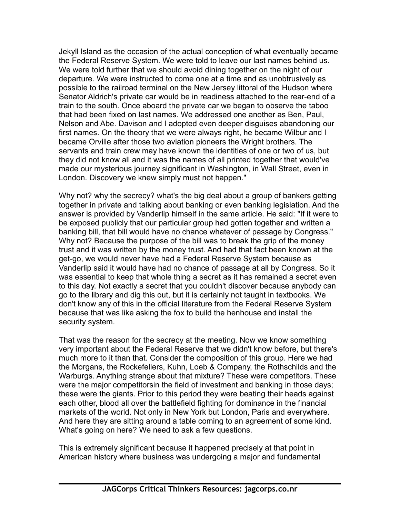Jekyll Island as the occasion of the actual conception of what eventually became the Federal Reserve System. We were told to leave our last names behind us. We were told further that we should avoid dining together on the night of our departure. We were instructed to come one at a time and as unobtrusively as possible to the railroad terminal on the New Jersey littoral of the Hudson where Senator Aldrich's private car would be in readiness attached to the rear-end of a train to the south. Once aboard the private car we began to observe the taboo that had been fixed on last names. We addressed one another as Ben, Paul, Nelson and Abe. Davison and I adopted even deeper disguises abandoning our first names. On the theory that we were always right, he became Wilbur and I became Orville after those two aviation pioneers the Wright brothers. The servants and train crew may have known the identities of one or two of us, but they did not know all and it was the names of all printed together that would've made our mysterious journey significant in Washington, in Wall Street, even in London. Discovery we knew simply must not happen."

Why not? why the secrecy? what's the big deal about a group of bankers getting together in private and talking about banking or even banking legislation. And the answer is provided by Vanderlip himself in the same article. He said: "If it were to be exposed publicly that our particular group had gotten together and written a banking bill, that bill would have no chance whatever of passage by Congress." Why not? Because the purpose of the bill was to break the grip of the money trust and it was written by the money trust. And had that fact been known at the get-go, we would never have had a Federal Reserve System because as Vanderlip said it would have had no chance of passage at all by Congress. So it was essential to keep that whole thing a secret as it has remained a secret even to this day. Not exactly a secret that you couldn't discover because anybody can go to the library and dig this out, but it is certainly not taught in textbooks. We don't know any of this in the official literature from the Federal Reserve System because that was like asking the fox to build the henhouse and install the security system.

That was the reason for the secrecy at the meeting. Now we know something very important about the Federal Reserve that we didn't know before, but there's much more to it than that. Consider the composition of this group. Here we had the Morgans, the Rockefellers, Kuhn, Loeb & Company, the Rothschilds and the Warburgs. Anything strange about that mixture? These were competitors. These were the major competitorsin the field of investment and banking in those days; these were the giants. Prior to this period they were beating their heads against each other, blood all over the battlefield fighting for dominance in the financial markets of the world. Not only in New York but London, Paris and everywhere. And here they are sitting around a table coming to an agreement of some kind. What's going on here? We need to ask a few questions.

This is extremely significant because it happened precisely at that point in American history where business was undergoing a major and fundamental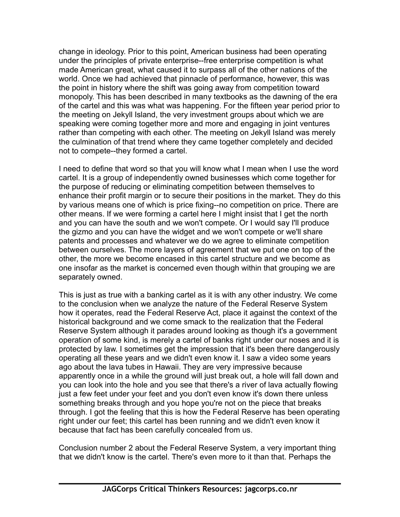change in ideology. Prior to this point, American business had been operating under the principles of private enterprise--free enterprise competition is what made American great, what caused it to surpass all of the other nations of the world. Once we had achieved that pinnacle of performance, however, this was the point in history where the shift was going away from competition toward monopoly. This has been described in many textbooks as the dawning of the era of the cartel and this was what was happening. For the fifteen year period prior to the meeting on Jekyll Island, the very investment groups about which we are speaking were coming together more and more and engaging in joint ventures rather than competing with each other. The meeting on Jekyll Island was merely the culmination of that trend where they came together completely and decided not to compete--they formed a cartel.

I need to define that word so that you will know what I mean when I use the word cartel. It is a group of independently owned businesses which come together for the purpose of reducing or eliminating competition between themselves to enhance their profit margin or to secure their positions in the market. They do this by various means one of which is price fixing--no competition on price. There are other means. If we were forming a cartel here I might insist that I get the north and you can have the south and we won't compete. Or I would say I'll produce the gizmo and you can have the widget and we won't compete or we'll share patents and processes and whatever we do we agree to eliminate competition between ourselves. The more layers of agreement that we put one on top of the other, the more we become encased in this cartel structure and we become as one insofar as the market is concerned even though within that grouping we are separately owned.

This is just as true with a banking cartel as it is with any other industry. We come to the conclusion when we analyze the nature of the Federal Reserve System how it operates, read the Federal Reserve Act, place it against the context of the historical background and we come smack to the realization that the Federal Reserve System although it parades around looking as though it's a government operation of some kind, is merely a cartel of banks right under our noses and it is protected by law. I sometimes get the impression that it's been there dangerously operating all these years and we didn't even know it. I saw a video some years ago about the lava tubes in Hawaii. They are very impressive because apparently once in a while the ground will just break out, a hole will fall down and you can look into the hole and you see that there's a river of lava actually flowing just a few feet under your feet and you don't even know it's down there unless something breaks through and you hope you're not on the piece that breaks through. I got the feeling that this is how the Federal Reserve has been operating right under our feet; this cartel has been running and we didn't even know it because that fact has been carefully concealed from us.

Conclusion number 2 about the Federal Reserve System, a very important thing that we didn't know is the cartel. There's even more to it than that. Perhaps the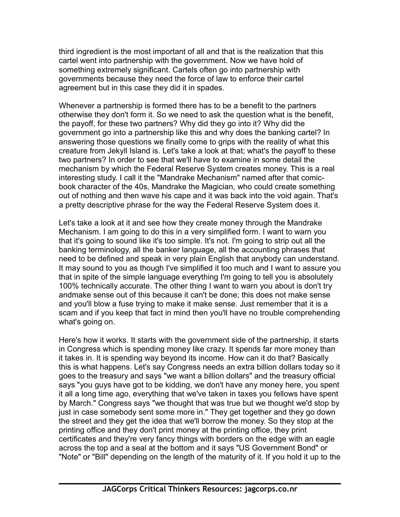third ingredient is the most important of all and that is the realization that this cartel went into partnership with the government. Now we have hold of something extremely significant. Cartels often go into partnership with governments because they need the force of law to enforce their cartel agreement but in this case they did it in spades.

Whenever a partnership is formed there has to be a benefit to the partners otherwise they don't form it. So we need to ask the question what is the benefit, the payoff, for these two partners? Why did they go into it? Why did the government go into a partnership like this and why does the banking cartel? In answering those questions we finally come to grips with the reality of what this creature from Jekyll Island is. Let's take a look at that; what's the payoff to these two partners? In order to see that we'll have to examine in some detail the mechanism by which the Federal Reserve System creates money. This is a real interesting study. I call it the "Mandrake Mechanism" named after that comicbook character of the 40s, Mandrake the Magician, who could create something out of nothing and then wave his cape and it was back into the void again. That's a pretty descriptive phrase for the way the Federal Reserve System does it.

Let's take a look at it and see how they create money through the Mandrake Mechanism. I am going to do this in a very simplified form. I want to warn you that it's going to sound like it's too simple. It's not. I'm going to strip out all the banking terminology, all the banker language, all the accounting phrases that need to be defined and speak in very plain English that anybody can understand. It may sound to you as though I've simplified it too much and I want to assure you that in spite of the simple language everything I'm going to tell you is absolutely 100% technically accurate. The other thing I want to warn you about is don't try andmake sense out of this because it can't be done; this does not make sense and you'll blow a fuse trying to make it make sense. Just remember that it is a scam and if you keep that fact in mind then you'll have no trouble comprehending what's going on.

Here's how it works. It starts with the government side of the partnership, it starts in Congress which is spending money like crazy. It spends far more money than it takes in. It is spending way beyond its income. How can it do that? Basically this is what happens. Let's say Congress needs an extra billion dollars today so it goes to the treasury and says "we want a billion dollars" and the treasury official says "you guys have got to be kidding, we don't have any money here, you spent it all a long time ago, everything that we've taken in taxes you fellows have spent by March." Congress says "we thought that was true but we thought we'd stop by just in case somebody sent some more in." They get together and they go down the street and they get the idea that we'll borrow the money. So they stop at the printing office and they don't print money at the printing office, they print certificates and they're very fancy things with borders on the edge with an eagle across the top and a seal at the bottom and it says "US Government Bond" or "Note" or "Bill" depending on the length of the maturity of it. If you hold it up to the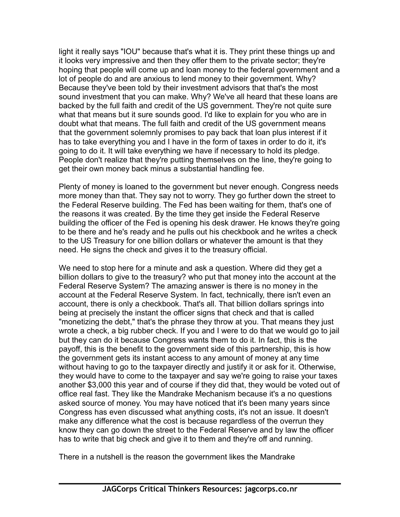light it really says "IOU" because that's what it is. They print these things up and it looks very impressive and then they offer them to the private sector; they're hoping that people will come up and loan money to the federal government and a lot of people do and are anxious to lend money to their government. Why? Because they've been told by their investment advisors that that's the most sound investment that you can make. Why? We've all heard that these loans are backed by the full faith and credit of the US government. They're not quite sure what that means but it sure sounds good. I'd like to explain for you who are in doubt what that means. The full faith and credit of the US government means that the government solemnly promises to pay back that loan plus interest if it has to take everything you and I have in the form of taxes in order to do it, it's going to do it. It will take everything we have if necessary to hold its pledge. People don't realize that they're putting themselves on the line, they're going to get their own money back minus a substantial handling fee.

Plenty of money is loaned to the government but never enough. Congress needs more money than that. They say not to worry. They go further down the street to the Federal Reserve building. The Fed has been waiting for them, that's one of the reasons it was created. By the time they get inside the Federal Reserve building the officer of the Fed is opening his desk drawer. He knows they're going to be there and he's ready and he pulls out his checkbook and he writes a check to the US Treasury for one billion dollars or whatever the amount is that they need. He signs the check and gives it to the treasury official.

We need to stop here for a minute and ask a question. Where did they get a billion dollars to give to the treasury? who put that money into the account at the Federal Reserve System? The amazing answer is there is no money in the account at the Federal Reserve System. In fact, technically, there isn't even an account, there is only a checkbook. That's all. That billion dollars springs into being at precisely the instant the officer signs that check and that is called "monetizing the debt," that's the phrase they throw at you. That means they just wrote a check, a big rubber check. If you and I were to do that we would go to jail but they can do it because Congress wants them to do it. In fact, this is the payoff, this is the benefit to the government side of this partnership, this is how the government gets its instant access to any amount of money at any time without having to go to the taxpayer directly and justify it or ask for it. Otherwise, they would have to come to the taxpayer and say we're going to raise your taxes another \$3,000 this year and of course if they did that, they would be voted out of office real fast. They like the Mandrake Mechanism because it's a no questions asked source of money. You may have noticed that it's been many years since Congress has even discussed what anything costs, it's not an issue. It doesn't make any difference what the cost is because regardless of the overrun they know they can go down the street to the Federal Reserve and by law the officer has to write that big check and give it to them and they're off and running.

There in a nutshell is the reason the government likes the Mandrake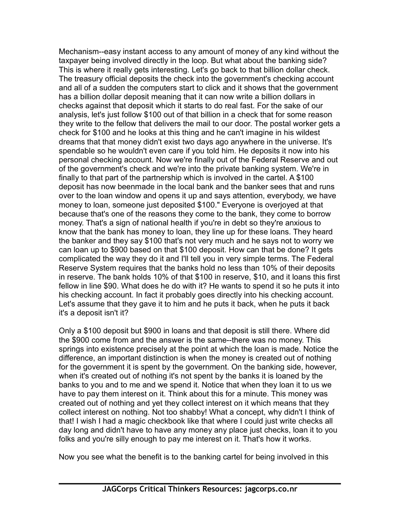Mechanism--easy instant access to any amount of money of any kind without the taxpayer being involved directly in the loop. But what about the banking side? This is where it really gets interesting. Let's go back to that billion dollar check. The treasury official deposits the check into the government's checking account and all of a sudden the computers start to click and it shows that the government has a billion dollar deposit meaning that it can now write a billion dollars in checks against that deposit which it starts to do real fast. For the sake of our analysis, let's just follow \$100 out of that billion in a check that for some reason they write to the fellow that delivers the mail to our door. The postal worker gets a check for \$100 and he looks at this thing and he can't imagine in his wildest dreams that that money didn't exist two days ago anywhere in the universe. It's spendable so he wouldn't even care if you told him. He deposits it now into his personal checking account. Now we're finally out of the Federal Reserve and out of the government's check and we're into the private banking system. We're in finally to that part of the partnership which is involved in the cartel. A \$100 deposit has now beenmade in the local bank and the banker sees that and runs over to the loan window and opens it up and says attention, everybody, we have money to loan, someone just deposited \$100." Everyone is overjoyed at that because that's one of the reasons they come to the bank, they come to borrow money. That's a sign of national health if you're in debt so they're anxious to know that the bank has money to loan, they line up for these loans. They heard the banker and they say \$100 that's not very much and he says not to worry we can loan up to \$900 based on that \$100 deposit. How can that be done? It gets complicated the way they do it and I'll tell you in very simple terms. The Federal Reserve System requires that the banks hold no less than 10% of their deposits in reserve. The bank holds 10% of that \$100 in reserve, \$10, and it loans this first fellow in line \$90. What does he do with it? He wants to spend it so he puts it into his checking account. In fact it probably goes directly into his checking account. Let's assume that they gave it to him and he puts it back, when he puts it back it's a deposit isn't it?

Only a \$100 deposit but \$900 in loans and that deposit is still there. Where did the \$900 come from and the answer is the same--there was no money. This springs into existence precisely at the point at which the loan is made. Notice the difference, an important distinction is when the money is created out of nothing for the government it is spent by the government. On the banking side, however, when it's created out of nothing it's not spent by the banks it is loaned by the banks to you and to me and we spend it. Notice that when they loan it to us we have to pay them interest on it. Think about this for a minute. This money was created out of nothing and yet they collect interest on it which means that they collect interest on nothing. Not too shabby! What a concept, why didn't I think of that! I wish I had a magic checkbook like that where I could just write checks all day long and didn't have to have any money any place just checks, loan it to you folks and you're silly enough to pay me interest on it. That's how it works.

Now you see what the benefit is to the banking cartel for being involved in this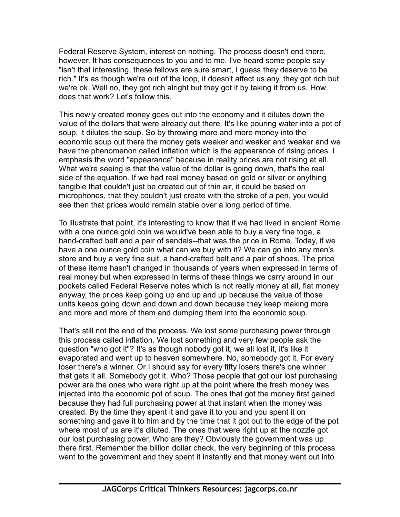Federal Reserve System, interest on nothing. The process doesn't end there, however. It has consequences to you and to me. I've heard some people say "isn't that interesting, these fellows are sure smart, I guess they deserve to be rich." It's as though we're out of the loop, it doesn't affect us any, they got rich but we're ok. Well no, they got rich alright but they got it by taking it from us. How does that work? Let's follow this.

This newly created money goes out into the economy and it dilutes down the value of the dollars that were already out there. It's like pouring water into a pot of soup, it dilutes the soup. So by throwing more and more money into the economic soup out there the money gets weaker and weaker and weaker and we have the phenomenon called inflation which is the appearance of rising prices. I emphasis the word "appearance" because in reality prices are not rising at all. What we're seeing is that the value of the dollar is going down, that's the real side of the equation. If we had real money based on gold or silver or anything tangible that couldn't just be created out of thin air, it could be based on microphones, that they couldn't just create with the stroke of a pen, you would see then that prices would remain stable over a long period of time.

To illustrate that point, it's interesting to know that if we had lived in ancient Rome with a one ounce gold coin we would've been able to buy a very fine toga, a hand-crafted belt and a pair of sandals--that was the price in Rome. Today, if we have a one ounce gold coin what can we buy with it? We can go into any men's store and buy a very fine suit, a hand-crafted belt and a pair of shoes. The price of these items hasn't changed in thousands of years when expressed in terms of real money but when expressed in terms of these things we carry around in our pockets called Federal Reserve notes which is not really money at all, fiat money anyway, the prices keep going up and up and up because the value of those units keeps going down and down and down because they keep making more and more and more of them and dumping them into the economic soup.

That's still not the end of the process. We lost some purchasing power through this process called inflation. We lost something and very few people ask the question "who got it"? It's as though nobody got it, we all lost it, it's like it evaporated and went up to heaven somewhere. No, somebody got it. For every loser there's a winner. Or I should say for every fifty losers there's one winner that gets it all. Somebody got it. Who? Those people that got our lost purchasing power are the ones who were right up at the point where the fresh money was injected into the economic pot of soup. The ones that got the money first gained because they had full purchasing power at that instant when the money was created. By the time they spent it and gave it to you and you spent it on something and gave it to him and by the time that it got out to the edge of the pot where most of us are it's diluted. The ones that were right up at the nozzle got our lost purchasing power. Who are they? Obviously the government was up there first. Remember the billion dollar check, the very beginning of this process went to the government and they spent it instantly and that money went out into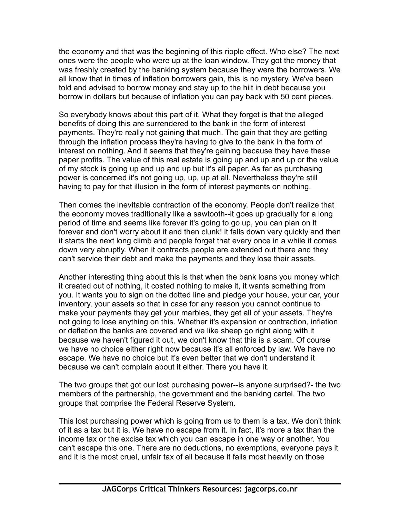the economy and that was the beginning of this ripple effect. Who else? The next ones were the people who were up at the loan window. They got the money that was freshly created by the banking system because they were the borrowers. We all know that in times of inflation borrowers gain, this is no mystery. We've been told and advised to borrow money and stay up to the hilt in debt because you borrow in dollars but because of inflation you can pay back with 50 cent pieces.

So everybody knows about this part of it. What they forget is that the alleged benefits of doing this are surrendered to the bank in the form of interest payments. They're really not gaining that much. The gain that they are getting through the inflation process they're having to give to the bank in the form of interest on nothing. And it seems that they're gaining because they have these paper profits. The value of this real estate is going up and up and up or the value of my stock is going up and up and up but it's all paper. As far as purchasing power is concerned it's not going up, up, up at all. Nevertheless they're still having to pay for that illusion in the form of interest payments on nothing.

Then comes the inevitable contraction of the economy. People don't realize that the economy moves traditionally like a sawtooth--it goes up gradually for a long period of time and seems like forever it's going to go up, you can plan on it forever and don't worry about it and then clunk! it falls down very quickly and then it starts the next long climb and people forget that every once in a while it comes down very abruptly. When it contracts people are extended out there and they can't service their debt and make the payments and they lose their assets.

Another interesting thing about this is that when the bank loans you money which it created out of nothing, it costed nothing to make it, it wants something from you. It wants you to sign on the dotted line and pledge your house, your car, your inventory, your assets so that in case for any reason you cannot continue to make your payments they get your marbles, they get all of your assets. They're not going to lose anything on this. Whether it's expansion or contraction, inflation or deflation the banks are covered and we like sheep go right along with it because we haven't figured it out, we don't know that this is a scam. Of course we have no choice either right now because it's all enforced by law. We have no escape. We have no choice but it's even better that we don't understand it because we can't complain about it either. There you have it.

The two groups that got our lost purchasing power--is anyone surprised?- the two members of the partnership, the government and the banking cartel. The two groups that comprise the Federal Reserve System.

This lost purchasing power which is going from us to them is a tax. We don't think of it as a tax but it is. We have no escape from it. In fact, it's more a tax than the income tax or the excise tax which you can escape in one way or another. You can't escape this one. There are no deductions, no exemptions, everyone pays it and it is the most cruel, unfair tax of all because it falls most heavily on those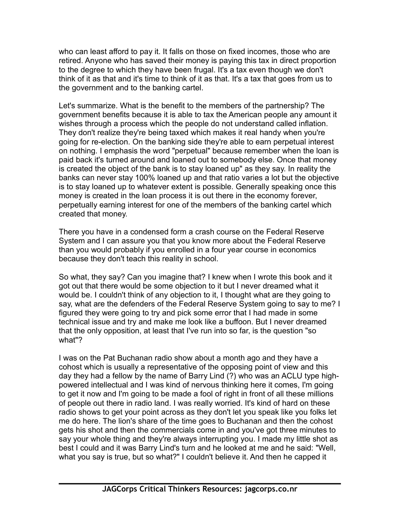who can least afford to pay it. It falls on those on fixed incomes, those who are retired. Anyone who has saved their money is paying this tax in direct proportion to the degree to which they have been frugal. It's a tax even though we don't think of it as that and it's time to think of it as that. It's a tax that goes from us to the government and to the banking cartel.

Let's summarize. What is the benefit to the members of the partnership? The government benefits because it is able to tax the American people any amount it wishes through a process which the people do not understand called inflation. They don't realize they're being taxed which makes it real handy when you're going for re-election. On the banking side they're able to earn perpetual interest on nothing. I emphasis the word "perpetual" because remember when the loan is paid back it's turned around and loaned out to somebody else. Once that money is created the object of the bank is to stay loaned up" as they say. In reality the banks can never stay 100% loaned up and that ratio varies a lot but the objective is to stay loaned up to whatever extent is possible. Generally speaking once this money is created in the loan process it is out there in the economy forever, perpetually earning interest for one of the members of the banking cartel which created that money.

There you have in a condensed form a crash course on the Federal Reserve System and I can assure you that you know more about the Federal Reserve than you would probably if you enrolled in a four year course in economics because they don't teach this reality in school.

So what, they say? Can you imagine that? I knew when I wrote this book and it got out that there would be some objection to it but I never dreamed what it would be. I couldn't think of any objection to it, I thought what are they going to say, what are the defenders of the Federal Reserve System going to say to me? I figured they were going to try and pick some error that I had made in some technical issue and try and make me look like a buffoon. But I never dreamed that the only opposition, at least that I've run into so far, is the question "so what"?

I was on the Pat Buchanan radio show about a month ago and they have a cohost which is usually a representative of the opposing point of view and this day they had a fellow by the name of Barry Lind (?) who was an ACLU type highpowered intellectual and I was kind of nervous thinking here it comes, I'm going to get it now and I'm going to be made a fool of right in front of all these millions of people out there in radio land. I was really worried. It's kind of hard on these radio shows to get your point across as they don't let you speak like you folks let me do here. The lion's share of the time goes to Buchanan and then the cohost gets his shot and then the commercials come in and you've got three minutes to say your whole thing and they're always interrupting you. I made my little shot as best I could and it was Barry Lind's turn and he looked at me and he said: "Well, what you say is true, but so what?" I couldn't believe it. And then he capped it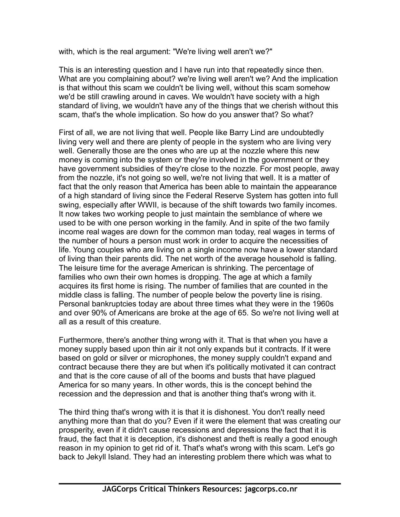with, which is the real argument: "We're living well aren't we?"

This is an interesting question and I have run into that repeatedly since then. What are you complaining about? we're living well aren't we? And the implication is that without this scam we couldn't be living well, without this scam somehow we'd be still crawling around in caves. We wouldn't have society with a high standard of living, we wouldn't have any of the things that we cherish without this scam, that's the whole implication. So how do you answer that? So what?

First of all, we are not living that well. People like Barry Lind are undoubtedly living very well and there are plenty of people in the system who are living very well. Generally those are the ones who are up at the nozzle where this new money is coming into the system or they're involved in the government or they have government subsidies of they're close to the nozzle. For most people, away from the nozzle, it's not going so well, we're not living that well. It is a matter of fact that the only reason that America has been able to maintain the appearance of a high standard of living since the Federal Reserve System has gotten into full swing, especially after WWII, is because of the shift towards two family incomes. It now takes two working people to just maintain the semblance of where we used to be with one person working in the family. And in spite of the two family income real wages are down for the common man today, real wages in terms of the number of hours a person must work in order to acquire the necessities of life. Young couples who are living on a single income now have a lower standard of living than their parents did. The net worth of the average household is falling. The leisure time for the average American is shrinking. The percentage of families who own their own homes is dropping. The age at which a family acquires its first home is rising. The number of families that are counted in the middle class is falling. The number of people below the poverty line is rising. Personal bankruptcies today are about three times what they were in the 1960s and over 90% of Americans are broke at the age of 65. So we're not living well at all as a result of this creature.

Furthermore, there's another thing wrong with it. That is that when you have a money supply based upon thin air it not only expands but it contracts. If it were based on gold or silver or microphones, the money supply couldn't expand and contract because there they are but when it's politically motivated it can contract and that is the core cause of all of the booms and busts that have plagued America for so many years. In other words, this is the concept behind the recession and the depression and that is another thing that's wrong with it.

The third thing that's wrong with it is that it is dishonest. You don't really need anything more than that do you? Even if it were the element that was creating our prosperity, even if it didn't cause recessions and depressions the fact that it is fraud, the fact that it is deception, it's dishonest and theft is really a good enough reason in my opinion to get rid of it. That's what's wrong with this scam. Let's go back to Jekyll Island. They had an interesting problem there which was what to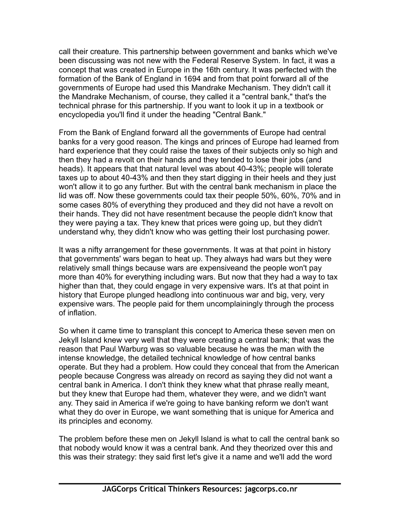call their creature. This partnership between government and banks which we've been discussing was not new with the Federal Reserve System. In fact, it was a concept that was created in Europe in the 16th century. It was perfected with the formation of the Bank of England in 1694 and from that point forward all of the governments of Europe had used this Mandrake Mechanism. They didn't call it the Mandrake Mechanism, of course, they called it a "central bank," that's the technical phrase for this partnership. If you want to look it up in a textbook or encyclopedia you'll find it under the heading "Central Bank."

From the Bank of England forward all the governments of Europe had central banks for a very good reason. The kings and princes of Europe had learned from hard experience that they could raise the taxes of their subjects only so high and then they had a revolt on their hands and they tended to lose their jobs (and heads). It appears that that natural level was about 40-43%; people will tolerate taxes up to about 40-43% and then they start digging in their heels and they just won't allow it to go any further. But with the central bank mechanism in place the lid was off. Now these governments could tax their people 50%, 60%, 70% and in some cases 80% of everything they produced and they did not have a revolt on their hands. They did not have resentment because the people didn't know that they were paying a tax. They knew that prices were going up, but they didn't understand why, they didn't know who was getting their lost purchasing power.

It was a nifty arrangement for these governments. It was at that point in history that governments' wars began to heat up. They always had wars but they were relatively small things because wars are expensiveand the people won't pay more than 40% for everything including wars. But now that they had a way to tax higher than that, they could engage in very expensive wars. It's at that point in history that Europe plunged headlong into continuous war and big, very, very expensive wars. The people paid for them uncomplainingly through the process of inflation.

So when it came time to transplant this concept to America these seven men on Jekyll Island knew very well that they were creating a central bank; that was the reason that Paul Warburg was so valuable because he was the man with the intense knowledge, the detailed technical knowledge of how central banks operate. But they had a problem. How could they conceal that from the American people because Congress was already on record as saying they did not want a central bank in America. I don't think they knew what that phrase really meant, but they knew that Europe had them, whatever they were, and we didn't want any. They said in America if we're going to have banking reform we don't want what they do over in Europe, we want something that is unique for America and its principles and economy.

The problem before these men on Jekyll Island is what to call the central bank so that nobody would know it was a central bank. And they theorized over this and this was their strategy: they said first let's give it a name and we'll add the word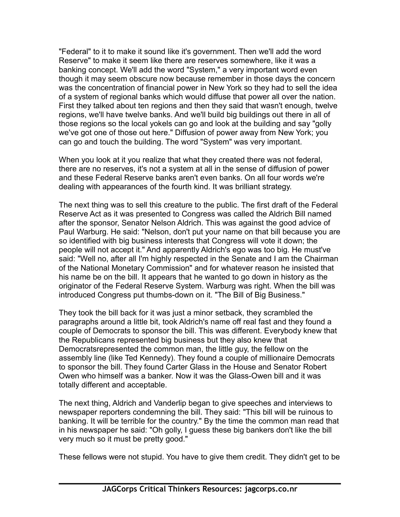"Federal" to it to make it sound like it's government. Then we'll add the word Reserve" to make it seem like there are reserves somewhere, like it was a banking concept. We'll add the word "System," a very important word even though it may seem obscure now because remember in those days the concern was the concentration of financial power in New York so they had to sell the idea of a system of regional banks which would diffuse that power all over the nation. First they talked about ten regions and then they said that wasn't enough, twelve regions, we'll have twelve banks. And we'll build big buildings out there in all of those regions so the local yokels can go and look at the building and say "golly we've got one of those out here." Diffusion of power away from New York; you can go and touch the building. The word "System" was very important.

When you look at it you realize that what they created there was not federal, there are no reserves, it's not a system at all in the sense of diffusion of power and these Federal Reserve banks aren't even banks. On all four words we're dealing with appearances of the fourth kind. It was brilliant strategy.

The next thing was to sell this creature to the public. The first draft of the Federal Reserve Act as it was presented to Congress was called the Aldrich Bill named after the sponsor, Senator Nelson Aldrich. This was against the good advice of Paul Warburg. He said: "Nelson, don't put your name on that bill because you are so identified with big business interests that Congress will vote it down; the people will not accept it." And apparently Aldrich's ego was too big. He must've said: "Well no, after all I'm highly respected in the Senate and I am the Chairman of the National Monetary Commission" and for whatever reason he insisted that his name be on the bill. It appears that he wanted to go down in history as the originator of the Federal Reserve System. Warburg was right. When the bill was introduced Congress put thumbs-down on it. "The Bill of Big Business."

They took the bill back for it was just a minor setback, they scrambled the paragraphs around a little bit, took Aldrich's name off real fast and they found a couple of Democrats to sponsor the bill. This was different. Everybody knew that the Republicans represented big business but they also knew that Democratsrepresented the common man, the little guy, the fellow on the assembly line (like Ted Kennedy). They found a couple of millionaire Democrats to sponsor the bill. They found Carter Glass in the House and Senator Robert Owen who himself was a banker. Now it was the Glass-Owen bill and it was totally different and acceptable.

The next thing, Aldrich and Vanderlip began to give speeches and interviews to newspaper reporters condemning the bill. They said: "This bill will be ruinous to banking. It will be terrible for the country." By the time the common man read that in his newspaper he said: "Oh golly, I guess these big bankers don't like the bill very much so it must be pretty good."

These fellows were not stupid. You have to give them credit. They didn't get to be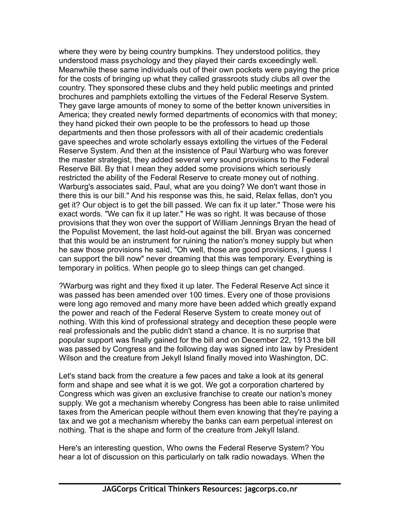where they were by being country bumpkins. They understood politics, they understood mass psychology and they played their cards exceedingly well. Meanwhile these same individuals out of their own pockets were paying the price for the costs of bringing up what they called grassroots study clubs all over the country. They sponsored these clubs and they held public meetings and printed brochures and pamphlets extolling the virtues of the Federal Reserve System. They gave large amounts of money to some of the better known universities in America; they created newly formed departments of economics with that money; they hand picked their own people to be the professors to head up those departments and then those professors with all of their academic credentials gave speeches and wrote scholarly essays extolling the virtues of the Federal Reserve System. And then at the insistence of Paul Warburg who was forever the master strategist, they added several very sound provisions to the Federal Reserve Bill. By that I mean they added some provisions which seriously restricted the ability of the Federal Reserve to create money out of nothing. Warburg's associates said, Paul, what are you doing? We don't want those in there this is our bill." And his response was this, he said, Relax fellas, don't you get it? Our object is to get the bill passed. We can fix it up later." Those were his exact words. "We can fix it up later." He was so right. It was because of those provisions that they won over the support of William Jennings Bryan the head of the Populist Movement, the last hold-out against the bill. Bryan was concerned that this would be an instrument for ruining the nation's money supply but when he saw those provisions he said, "Oh well, those are good provisions, I guess I can support the bill now" never dreaming that this was temporary. Everything is temporary in politics. When people go to sleep things can get changed.

?Warburg was right and they fixed it up later. The Federal Reserve Act since it was passed has been amended over 100 times. Every one of those provisions were long ago removed and many more have been added which greatly expand the power and reach of the Federal Reserve System to create money out of nothing. With this kind of professional strategy and deception these people were real professionals and the public didn't stand a chance. It is no surprise that popular support was finally gained for the bill and on December 22, 1913 the bill was passed by Congress and the following day was signed into law by President Wilson and the creature from Jekyll Island finally moved into Washington, DC.

Let's stand back from the creature a few paces and take a look at its general form and shape and see what it is we got. We got a corporation chartered by Congress which was given an exclusive franchise to create our nation's money supply. We got a mechanism whereby Congress has been able to raise unlimited taxes from the American people without them even knowing that they're paying a tax and we got a mechanism whereby the banks can earn perpetual interest on nothing. That is the shape and form of the creature from Jekyll Island.

Here's an interesting question, Who owns the Federal Reserve System? You hear a lot of discussion on this particularly on talk radio nowadays. When the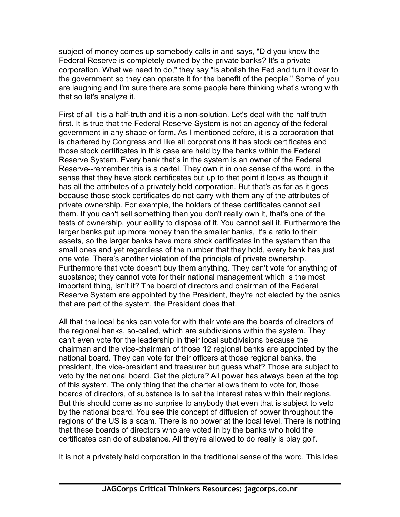subject of money comes up somebody calls in and says, "Did you know the Federal Reserve is completely owned by the private banks? It's a private corporation. What we need to do," they say "is abolish the Fed and turn it over to the government so they can operate it for the benefit of the people." Some of you are laughing and I'm sure there are some people here thinking what's wrong with that so let's analyze it.

First of all it is a half-truth and it is a non-solution. Let's deal with the half truth first. It is true that the Federal Reserve System is not an agency of the federal government in any shape or form. As I mentioned before, it is a corporation that is chartered by Congress and like all corporations it has stock certificates and those stock certificates in this case are held by the banks within the Federal Reserve System. Every bank that's in the system is an owner of the Federal Reserve--remember this is a cartel. They own it in one sense of the word, in the sense that they have stock certificates but up to that point it looks as though it has all the attributes of a privately held corporation. But that's as far as it goes because those stock certificates do not carry with them any of the attributes of private ownership. For example, the holders of these certificates cannot sell them. If you can't sell something then you don't really own it, that's one of the tests of ownership, your ability to dispose of it. You cannot sell it. Furthermore the larger banks put up more money than the smaller banks, it's a ratio to their assets, so the larger banks have more stock certificates in the system than the small ones and yet regardless of the number that they hold, every bank has just one vote. There's another violation of the principle of private ownership. Furthermore that vote doesn't buy them anything. They can't vote for anything of substance; they cannot vote for their national management which is the most important thing, isn't it? The board of directors and chairman of the Federal Reserve System are appointed by the President, they're not elected by the banks that are part of the system, the President does that.

All that the local banks can vote for with their vote are the boards of directors of the regional banks, so-called, which are subdivisions within the system. They can't even vote for the leadership in their local subdivisions because the chairman and the vice-chairman of those 12 regional banks are appointed by the national board. They can vote for their officers at those regional banks, the president, the vice-president and treasurer but guess what? Those are subject to veto by the national board. Get the picture? All power has always been at the top of this system. The only thing that the charter allows them to vote for, those boards of directors, of substance is to set the interest rates within their regions. But this should come as no surprise to anybody that even that is subject to veto by the national board. You see this concept of diffusion of power throughout the regions of the US is a scam. There is no power at the local level. There is nothing that these boards of directors who are voted in by the banks who hold the certificates can do of substance. All they're allowed to do really is play golf.

It is not a privately held corporation in the traditional sense of the word. This idea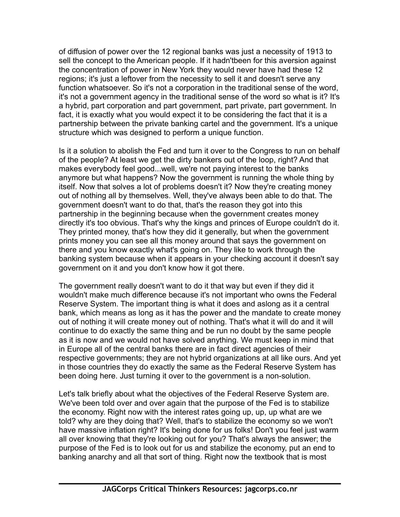of diffusion of power over the 12 regional banks was just a necessity of 1913 to sell the concept to the American people. If it hadn'tbeen for this aversion against the concentration of power in New York they would never have had these 12 regions; it's just a leftover from the necessity to sell it and doesn't serve any function whatsoever. So it's not a corporation in the traditional sense of the word, it's not a government agency in the traditional sense of the word so what is it? It's a hybrid, part corporation and part government, part private, part government. In fact, it is exactly what you would expect it to be considering the fact that it is a partnership between the private banking cartel and the government. It's a unique structure which was designed to perform a unique function.

Is it a solution to abolish the Fed and turn it over to the Congress to run on behalf of the people? At least we get the dirty bankers out of the loop, right? And that makes everybody feel good...well, we're not paying interest to the banks anymore but what happens? Now the government is running the whole thing by itself. Now that solves a lot of problems doesn't it? Now they're creating money out of nothing all by themselves. Well, they've always been able to do that. The government doesn't want to do that, that's the reason they got into this partnership in the beginning because when the government creates money directly it's too obvious. That's why the kings and princes of Europe couldn't do it. They printed money, that's how they did it generally, but when the government prints money you can see all this money around that says the government on there and you know exactly what's going on. They like to work through the banking system because when it appears in your checking account it doesn't say government on it and you don't know how it got there.

The government really doesn't want to do it that way but even if they did it wouldn't make much difference because it's not important who owns the Federal Reserve System. The important thing is what it does and aslong as it a central bank, which means as long as it has the power and the mandate to create money out of nothing it will create money out of nothing. That's what it will do and it will continue to do exactly the same thing and be run no doubt by the same people as it is now and we would not have solved anything. We must keep in mind that in Europe all of the central banks there are in fact direct agencies of their respective governments; they are not hybrid organizations at all like ours. And yet in those countries they do exactly the same as the Federal Reserve System has been doing here. Just turning it over to the government is a non-solution.

Let's talk briefly about what the objectives of the Federal Reserve System are. We've been told over and over again that the purpose of the Fed is to stabilize the economy. Right now with the interest rates going up, up, up what are we told? why are they doing that? Well, that's to stabilize the economy so we won't have massive inflation right? It's being done for us folks! Don't you feel just warm all over knowing that they're looking out for you? That's always the answer; the purpose of the Fed is to look out for us and stabilize the economy, put an end to banking anarchy and all that sort of thing. Right now the textbook that is most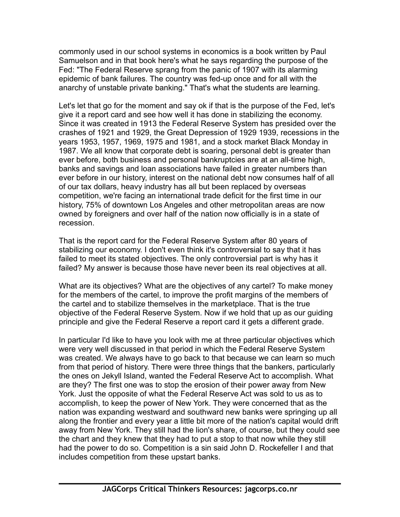commonly used in our school systems in economics is a book written by Paul Samuelson and in that book here's what he says regarding the purpose of the Fed: "The Federal Reserve sprang from the panic of 1907 with its alarming epidemic of bank failures. The country was fed-up once and for all with the anarchy of unstable private banking." That's what the students are learning.

Let's let that go for the moment and say ok if that is the purpose of the Fed, let's give it a report card and see how well it has done in stabilizing the economy. Since it was created in 1913 the Federal Reserve System has presided over the crashes of 1921 and 1929, the Great Depression of 1929 1939, recessions in the years 1953, 1957, 1969, 1975 and 1981, and a stock market Black Monday in 1987. We all know that corporate debt is soaring, personal debt is greater than ever before, both business and personal bankruptcies are at an all-time high, banks and savings and loan associations have failed in greater numbers than ever before in our history, interest on the national debt now consumes half of all of our tax dollars, heavy industry has all but been replaced by overseas competition, we're facing an international trade deficit for the first time in our history, 75% of downtown Los Angeles and other metropolitan areas are now owned by foreigners and over half of the nation now officially is in a state of recession.

That is the report card for the Federal Reserve System after 80 years of stabilizing our economy. I don't even think it's controversial to say that it has failed to meet its stated objectives. The only controversial part is why has it failed? My answer is because those have never been its real objectives at all.

What are its objectives? What are the objectives of any cartel? To make money for the members of the cartel, to improve the profit margins of the members of the cartel and to stabilize themselves in the marketplace. That is the true objective of the Federal Reserve System. Now if we hold that up as our guiding principle and give the Federal Reserve a report card it gets a different grade.

In particular I'd like to have you look with me at three particular objectives which were very well discussed in that period in which the Federal Reserve System was created. We always have to go back to that because we can learn so much from that period of history. There were three things that the bankers, particularly the ones on Jekyll Island, wanted the Federal Reserve Act to accomplish. What are they? The first one was to stop the erosion of their power away from New York. Just the opposite of what the Federal Reserve Act was sold to us as to accomplish, to keep the power of New York. They were concerned that as the nation was expanding westward and southward new banks were springing up all along the frontier and every year a little bit more of the nation's capital would drift away from New York. They still had the lion's share, of course, but they could see the chart and they knew that they had to put a stop to that now while they still had the power to do so. Competition is a sin said John D. Rockefeller I and that includes competition from these upstart banks.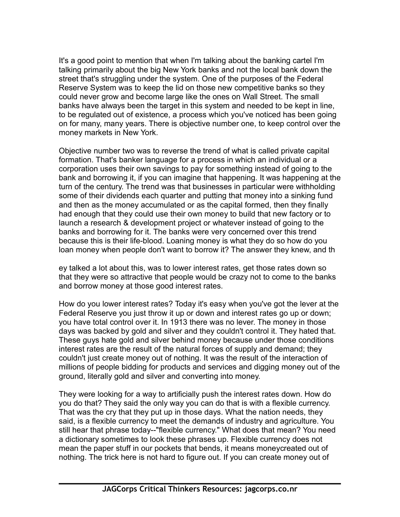It's a good point to mention that when I'm talking about the banking cartel I'm talking primarily about the big New York banks and not the local bank down the street that's struggling under the system. One of the purposes of the Federal Reserve System was to keep the lid on those new competitive banks so they could never grow and become large like the ones on Wall Street. The small banks have always been the target in this system and needed to be kept in line, to be regulated out of existence, a process which you've noticed has been going on for many, many years. There is objective number one, to keep control over the money markets in New York.

Objective number two was to reverse the trend of what is called private capital formation. That's banker language for a process in which an individual or a corporation uses their own savings to pay for something instead of going to the bank and borrowing it, if you can imagine that happening. It was happening at the turn of the century. The trend was that businesses in particular were withholding some of their dividends each quarter and putting that money into a sinking fund and then as the money accumulated or as the capital formed, then they finally had enough that they could use their own money to build that new factory or to launch a research & development project or whatever instead of going to the banks and borrowing for it. The banks were very concerned over this trend because this is their life-blood. Loaning money is what they do so how do you loan money when people don't want to borrow it? The answer they knew, and th

ey talked a lot about this, was to lower interest rates, get those rates down so that they were so attractive that people would be crazy not to come to the banks and borrow money at those good interest rates.

How do you lower interest rates? Today it's easy when you've got the lever at the Federal Reserve you just throw it up or down and interest rates go up or down; you have total control over it. In 1913 there was no lever. The money in those days was backed by gold and silver and they couldn't control it. They hated that. These guys hate gold and silver behind money because under those conditions interest rates are the result of the natural forces of supply and demand; they couldn't just create money out of nothing. It was the result of the interaction of millions of people bidding for products and services and digging money out of the ground, literally gold and silver and converting into money.

They were looking for a way to artificially push the interest rates down. How do you do that? They said the only way you can do that is with a flexible currency. That was the cry that they put up in those days. What the nation needs, they said, is a flexible currency to meet the demands of industry and agriculture. You still hear that phrase today--"flexible currency." What does that mean? You need a dictionary sometimes to look these phrases up. Flexible currency does not mean the paper stuff in our pockets that bends, it means moneycreated out of nothing. The trick here is not hard to figure out. If you can create money out of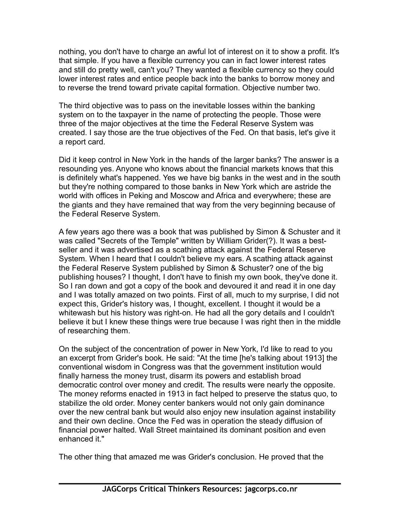nothing, you don't have to charge an awful lot of interest on it to show a profit. It's that simple. If you have a flexible currency you can in fact lower interest rates and still do pretty well, can't you? They wanted a flexible currency so they could lower interest rates and entice people back into the banks to borrow money and to reverse the trend toward private capital formation. Objective number two.

The third objective was to pass on the inevitable losses within the banking system on to the taxpayer in the name of protecting the people. Those were three of the major objectives at the time the Federal Reserve System was created. I say those are the true objectives of the Fed. On that basis, let's give it a report card.

Did it keep control in New York in the hands of the larger banks? The answer is a resounding yes. Anyone who knows about the financial markets knows that this is definitely what's happened. Yes we have big banks in the west and in the south but they're nothing compared to those banks in New York which are astride the world with offices in Peking and Moscow and Africa and everywhere; these are the giants and they have remained that way from the very beginning because of the Federal Reserve System.

A few years ago there was a book that was published by Simon & Schuster and it was called "Secrets of the Temple" written by William Grider(?). It was a bestseller and it was advertised as a scathing attack against the Federal Reserve System. When I heard that I couldn't believe my ears. A scathing attack against the Federal Reserve System published by Simon & Schuster? one of the big publishing houses? I thought, I don't have to finish my own book, they've done it. So I ran down and got a copy of the book and devoured it and read it in one day and I was totally amazed on two points. First of all, much to my surprise, I did not expect this, Grider's history was, I thought, excellent. I thought it would be a whitewash but his history was right-on. He had all the gory details and I couldn't believe it but I knew these things were true because I was right then in the middle of researching them.

On the subject of the concentration of power in New York, I'd like to read to you an excerpt from Grider's book. He said: "At the time [he's talking about 1913] the conventional wisdom in Congress was that the government institution would finally harness the money trust, disarm its powers and establish broad democratic control over money and credit. The results were nearly the opposite. The money reforms enacted in 1913 in fact helped to preserve the status quo, to stabilize the old order. Money center bankers would not only gain dominance over the new central bank but would also enjoy new insulation against instability and their own decline. Once the Fed was in operation the steady diffusion of financial power halted. Wall Street maintained its dominant position and even enhanced it."

The other thing that amazed me was Grider's conclusion. He proved that the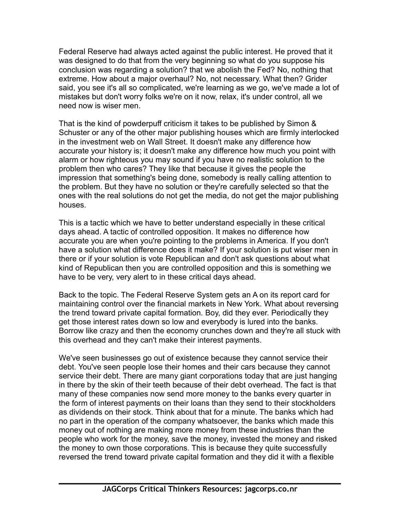Federal Reserve had always acted against the public interest. He proved that it was designed to do that from the very beginning so what do you suppose his conclusion was regarding a solution? that we abolish the Fed? No, nothing that extreme. How about a major overhaul? No, not necessary. What then? Grider said, you see it's all so complicated, we're learning as we go, we've made a lot of mistakes but don't worry folks we're on it now, relax, it's under control, all we need now is wiser men.

That is the kind of powderpuff criticism it takes to be published by Simon & Schuster or any of the other major publishing houses which are firmly interlocked in the investment web on Wall Street. It doesn't make any difference how accurate your history is; it doesn't make any difference how much you point with alarm or how righteous you may sound if you have no realistic solution to the problem then who cares? They like that because it gives the people the impression that something's being done, somebody is really calling attention to the problem. But they have no solution or they're carefully selected so that the ones with the real solutions do not get the media, do not get the major publishing houses.

This is a tactic which we have to better understand especially in these critical days ahead. A tactic of controlled opposition. It makes no difference how accurate you are when you're pointing to the problems in America. If you don't have a solution what difference does it make? If your solution is put wiser men in there or if your solution is vote Republican and don't ask questions about what kind of Republican then you are controlled opposition and this is something we have to be very, very alert to in these critical days ahead.

Back to the topic. The Federal Reserve System gets an A on its report card for maintaining control over the financial markets in New York. What about reversing the trend toward private capital formation. Boy, did they ever. Periodically they get those interest rates down so low and everybody is lured into the banks. Borrow like crazy and then the economy crunches down and they're all stuck with this overhead and they can't make their interest payments.

We've seen businesses go out of existence because they cannot service their debt. You've seen people lose their homes and their cars because they cannot service their debt. There are many giant corporations today that are just hanging in there by the skin of their teeth because of their debt overhead. The fact is that many of these companies now send more money to the banks every quarter in the form of interest payments on their loans than they send to their stockholders as dividends on their stock. Think about that for a minute. The banks which had no part in the operation of the company whatsoever, the banks which made this money out of nothing are making more money from these industries than the people who work for the money, save the money, invested the money and risked the money to own those corporations. This is because they quite successfully reversed the trend toward private capital formation and they did it with a flexible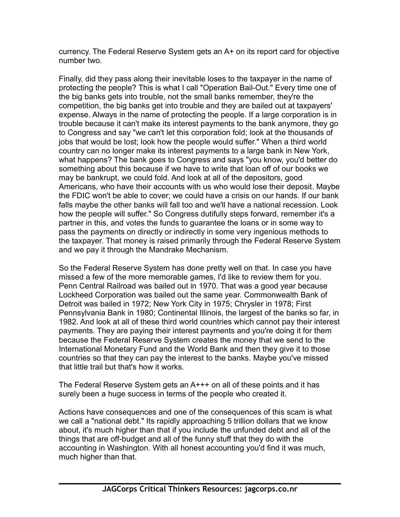currency. The Federal Reserve System gets an A+ on its report card for objective number two.

Finally, did they pass along their inevitable loses to the taxpayer in the name of protecting the people? This is what I call "Operation Bail-Out." Every time one of the big banks gets into trouble, not the small banks remember, they're the competition, the big banks get into trouble and they are bailed out at taxpayers' expense. Always in the name of protecting the people. If a large corporation is in trouble because it can't make its interest payments to the bank anymore, they go to Congress and say "we can't let this corporation fold; look at the thousands of jobs that would be lost; look how the people would suffer." When a third world country can no longer make its interest payments to a large bank in New York, what happens? The bank goes to Congress and says "you know, you'd better do something about this because if we have to write that loan off of our books we may be bankrupt, we could fold. And look at all of the depositors, good Americans, who have their accounts with us who would lose their deposit. Maybe the FDIC won't be able to cover; we could have a crisis on our hands. If our bank falls maybe the other banks will fall too and we'll have a national recession. Look how the people will suffer." So Congress dutifully steps forward, remember it's a partner in this, and votes the funds to guarantee the loans or in some way to pass the payments on directly or indirectly in some very ingenious methods to the taxpayer. That money is raised primarily through the Federal Reserve System and we pay it through the Mandrake Mechanism.

So the Federal Reserve System has done pretty well on that. In case you have missed a few of the more memorable games, I'd like to review them for you. Penn Central Railroad was bailed out in 1970. That was a good year because Lockheed Corporation was bailed out the same year. Commonwealth Bank of Detroit was bailed in 1972; New York City in 1975; Chrysler in 1978; First Pennsylvania Bank in 1980; Continental Illinois, the largest of the banks so far, in 1982. And look at all of these third world countries which cannot pay their interest payments. They are paying their interest payments and you're doing it for them because the Federal Reserve System creates the money that we send to the International Monetary Fund and the World Bank and then they give it to those countries so that they can pay the interest to the banks. Maybe you've missed that little trail but that's how it works.

The Federal Reserve System gets an A+++ on all of these points and it has surely been a huge success in terms of the people who created it.

Actions have consequences and one of the consequences of this scam is what we call a "national debt." Its rapidly approaching 5 trillion dollars that we know about, it's much higher than that if you include the unfunded debt and all of the things that are off-budget and all of the funny stuff that they do with the accounting in Washington. With all honest accounting you'd find it was much, much higher than that.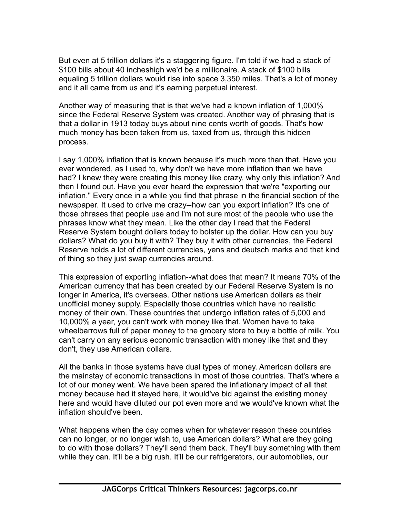But even at 5 trillion dollars it's a staggering figure. I'm told if we had a stack of \$100 bills about 40 incheshigh we'd be a millionaire. A stack of \$100 bills equaling 5 trillion dollars would rise into space 3,350 miles. That's a lot of money and it all came from us and it's earning perpetual interest.

Another way of measuring that is that we've had a known inflation of 1,000% since the Federal Reserve System was created. Another way of phrasing that is that a dollar in 1913 today buys about nine cents worth of goods. That's how much money has been taken from us, taxed from us, through this hidden process.

I say 1,000% inflation that is known because it's much more than that. Have you ever wondered, as I used to, why don't we have more inflation than we have had? I knew they were creating this money like crazy, why only this inflation? And then I found out. Have you ever heard the expression that we're "exporting our inflation." Every once in a while you find that phrase in the financial section of the newspaper. It used to drive me crazy--how can you export inflation? It's one of those phrases that people use and I'm not sure most of the people who use the phrases know what they mean. Like the other day I read that the Federal Reserve System bought dollars today to bolster up the dollar. How can you buy dollars? What do you buy it with? They buy it with other currencies, the Federal Reserve holds a lot of different currencies, yens and deutsch marks and that kind of thing so they just swap currencies around.

This expression of exporting inflation--what does that mean? It means 70% of the American currency that has been created by our Federal Reserve System is no longer in America, it's overseas. Other nations use American dollars as their unofficial money supply. Especially those countries which have no realistic money of their own. These countries that undergo inflation rates of 5,000 and 10,000% a year, you can't work with money like that. Women have to take wheelbarrows full of paper money to the grocery store to buy a bottle of milk. You can't carry on any serious economic transaction with money like that and they don't, they use American dollars.

All the banks in those systems have dual types of money. American dollars are the mainstay of economic transactions in most of those countries. That's where a lot of our money went. We have been spared the inflationary impact of all that money because had it stayed here, it would've bid against the existing money here and would have diluted our pot even more and we would've known what the inflation should've been.

What happens when the day comes when for whatever reason these countries can no longer, or no longer wish to, use American dollars? What are they going to do with those dollars? They'll send them back. They'll buy something with them while they can. It'll be a big rush. It'll be our refrigerators, our automobiles, our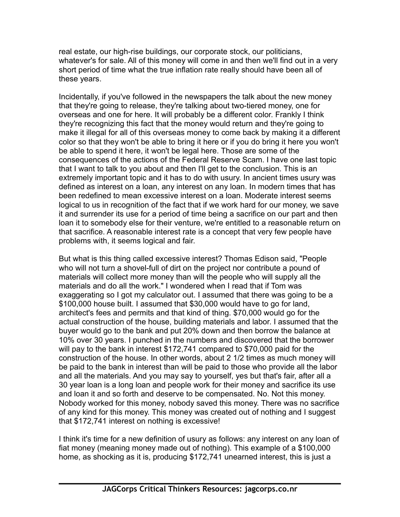real estate, our high-rise buildings, our corporate stock, our politicians, whatever's for sale. All of this money will come in and then we'll find out in a very short period of time what the true inflation rate really should have been all of these years.

Incidentally, if you've followed in the newspapers the talk about the new money that they're going to release, they're talking about two-tiered money, one for overseas and one for here. It will probably be a different color. Frankly I think they're recognizing this fact that the money would return and they're going to make it illegal for all of this overseas money to come back by making it a different color so that they won't be able to bring it here or if you do bring it here you won't be able to spend it here, it won't be legal here. Those are some of the consequences of the actions of the Federal Reserve Scam. I have one last topic that I want to talk to you about and then I'll get to the conclusion. This is an extremely important topic and it has to do with usury. In ancient times usury was defined as interest on a loan, any interest on any loan. In modern times that has been redefined to mean excessive interest on a loan. Moderate interest seems logical to us in recognition of the fact that if we work hard for our money, we save it and surrender its use for a period of time being a sacrifice on our part and then loan it to somebody else for their venture, we're entitled to a reasonable return on that sacrifice. A reasonable interest rate is a concept that very few people have problems with, it seems logical and fair.

But what is this thing called excessive interest? Thomas Edison said, "People who will not turn a shovel-full of dirt on the project nor contribute a pound of materials will collect more money than will the people who will supply all the materials and do all the work." I wondered when I read that if Tom was exaggerating so I got my calculator out. I assumed that there was going to be a \$100,000 house built. I assumed that \$30,000 would have to go for land, architect's fees and permits and that kind of thing. \$70,000 would go for the actual construction of the house, building materials and labor. I assumed that the buyer would go to the bank and put 20% down and then borrow the balance at 10% over 30 years. I punched in the numbers and discovered that the borrower will pay to the bank in interest \$172,741 compared to \$70,000 paid for the construction of the house. In other words, about 2 1/2 times as much money will be paid to the bank in interest than will be paid to those who provide all the labor and all the materials. And you may say to yourself, yes but that's fair, after all a 30 year loan is a long loan and people work for their money and sacrifice its use and loan it and so forth and deserve to be compensated. No. Not this money. Nobody worked for this money, nobody saved this money. There was no sacrifice of any kind for this money. This money was created out of nothing and I suggest that \$172,741 interest on nothing is excessive!

I think it's time for a new definition of usury as follows: any interest on any loan of fiat money (meaning money made out of nothing). This example of a \$100,000 home, as shocking as it is, producing \$172,741 unearned interest, this is just a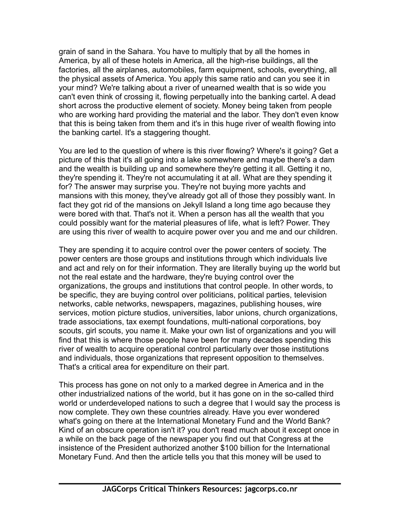grain of sand in the Sahara. You have to multiply that by all the homes in America, by all of these hotels in America, all the high-rise buildings, all the factories, all the airplanes, automobiles, farm equipment, schools, everything, all the physical assets of America. You apply this same ratio and can you see it in your mind? We're talking about a river of unearned wealth that is so wide you can't even think of crossing it, flowing perpetually into the banking cartel. A dead short across the productive element of society. Money being taken from people who are working hard providing the material and the labor. They don't even know that this is being taken from them and it's in this huge river of wealth flowing into the banking cartel. It's a staggering thought.

You are led to the question of where is this river flowing? Where's it going? Get a picture of this that it's all going into a lake somewhere and maybe there's a dam and the wealth is building up and somewhere they're getting it all. Getting it no, they're spending it. They're not accumulating it at all. What are they spending it for? The answer may surprise you. They're not buying more yachts and mansions with this money, they've already got all of those they possibly want. In fact they got rid of the mansions on Jekyll Island a long time ago because they were bored with that. That's not it. When a person has all the wealth that you could possibly want for the material pleasures of life, what is left? Power. They are using this river of wealth to acquire power over you and me and our children.

They are spending it to acquire control over the power centers of society. The power centers are those groups and institutions through which individuals live and act and rely on for their information. They are literally buying up the world but not the real estate and the hardware, they're buying control over the organizations, the groups and institutions that control people. In other words, to be specific, they are buying control over politicians, political parties, television networks, cable networks, newspapers, magazines, publishing houses, wire services, motion picture studios, universities, labor unions, church organizations, trade associations, tax exempt foundations, multi-national corporations, boy scouts, girl scouts, you name it. Make your own list of organizations and you will find that this is where those people have been for many decades spending this river of wealth to acquire operational control particularly over those institutions and individuals, those organizations that represent opposition to themselves. That's a critical area for expenditure on their part.

This process has gone on not only to a marked degree in America and in the other industrialized nations of the world, but it has gone on in the so-called third world or underdeveloped nations to such a degree that I would say the process is now complete. They own these countries already. Have you ever wondered what's going on there at the International Monetary Fund and the World Bank? Kind of an obscure operation isn't it? you don't read much about it except once in a while on the back page of the newspaper you find out that Congress at the insistence of the President authorized another \$100 billion for the International Monetary Fund. And then the article tells you that this money will be used to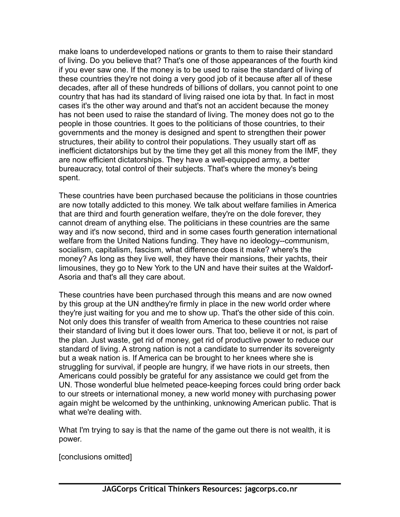make loans to underdeveloped nations or grants to them to raise their standard of living. Do you believe that? That's one of those appearances of the fourth kind if you ever saw one. If the money is to be used to raise the standard of living of these countries they're not doing a very good job of it because after all of these decades, after all of these hundreds of billions of dollars, you cannot point to one country that has had its standard of living raised one iota by that. In fact in most cases it's the other way around and that's not an accident because the money has not been used to raise the standard of living. The money does not go to the people in those countries. It goes to the politicians of those countries, to their governments and the money is designed and spent to strengthen their power structures, their ability to control their populations. They usually start off as inefficient dictatorships but by the time they get all this money from the IMF, they are now efficient dictatorships. They have a well-equipped army, a better bureaucracy, total control of their subjects. That's where the money's being spent.

These countries have been purchased because the politicians in those countries are now totally addicted to this money. We talk about welfare families in America that are third and fourth generation welfare, they're on the dole forever, they cannot dream of anything else. The politicians in these countries are the same way and it's now second, third and in some cases fourth generation international welfare from the United Nations funding. They have no ideology--communism, socialism, capitalism, fascism, what difference does it make? where's the money? As long as they live well, they have their mansions, their yachts, their limousines, they go to New York to the UN and have their suites at the Waldorf-Asoria and that's all they care about.

These countries have been purchased through this means and are now owned by this group at the UN andthey're firmly in place in the new world order where they're just waiting for you and me to show up. That's the other side of this coin. Not only does this transfer of wealth from America to these countries not raise their standard of living but it does lower ours. That too, believe it or not, is part of the plan. Just waste, get rid of money, get rid of productive power to reduce our standard of living. A strong nation is not a candidate to surrender its sovereignty but a weak nation is. If America can be brought to her knees where she is struggling for survival, if people are hungry, if we have riots in our streets, then Americans could possibly be grateful for any assistance we could get from the UN. Those wonderful blue helmeted peace-keeping forces could bring order back to our streets or international money, a new world money with purchasing power again might be welcomed by the unthinking, unknowing American public. That is what we're dealing with.

What I'm trying to say is that the name of the game out there is not wealth, it is power.

[conclusions omitted]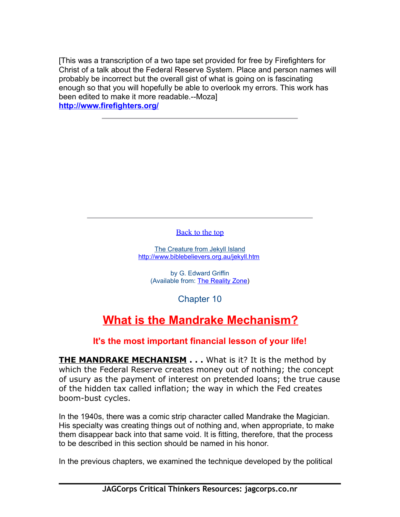[This was a transcription of a two tape set provided for free by Firefighters for Christ of a talk about the Federal Reserve System. Place and person names will probably be incorrect but the overall gist of what is going on is fascinating enough so that you will hopefully be able to overlook my errors. This work has been edited to make it more readable.--Moza] **<http://www.firefighters.org/>**

[Back to the top](http://www.theantechamber.net/UsHistDoc/CreatureJekyllIsland.html#top)

The Creature from Jekyll Island <http://www.biblebelievers.org.au/jekyll.htm>

> by G. Edward Griffin (Available from: [The Reality Zone\)](http://www.realityzone.com/)

> > Chapter 10

# **What is the Mandrake Mechanism?**

# **It's the most important financial lesson of your life!**

**THE MANDRAKE MECHANISM . . .** What is it? It is the method by which the Federal Reserve creates money out of nothing; the concept of usury as the payment of interest on pretended loans; the true cause of the hidden tax called inflation; the way in which the Fed creates boom-bust cycles.

In the 1940s, there was a comic strip character called Mandrake the Magician. His specialty was creating things out of nothing and, when appropriate, to make them disappear back into that same void. It is fitting, therefore, that the process to be described in this section should be named in his honor.

In the previous chapters, we examined the technique developed by the political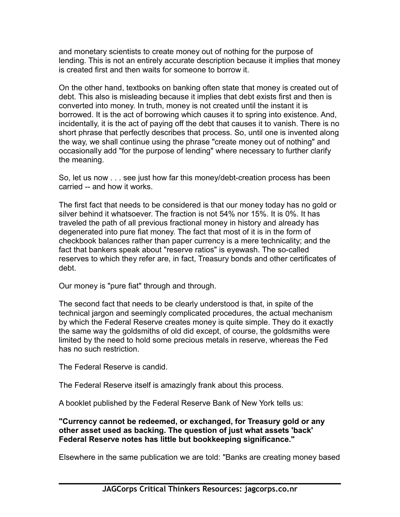and monetary scientists to create money out of nothing for the purpose of lending. This is not an entirely accurate description because it implies that money is created first and then waits for someone to borrow it.

On the other hand, textbooks on banking often state that money is created out of debt. This also is misleading because it implies that debt exists first and then is converted into money. In truth, money is not created until the instant it is borrowed. It is the act of borrowing which causes it to spring into existence. And, incidentally, it is the act of paying off the debt that causes it to vanish. There is no short phrase that perfectly describes that process. So, until one is invented along the way, we shall continue using the phrase "create money out of nothing" and occasionally add "for the purpose of lending" where necessary to further clarify the meaning.

So, let us now . . . see just how far this money/debt-creation process has been carried -- and how it works.

The first fact that needs to be considered is that our money today has no gold or silver behind it whatsoever. The fraction is not 54% nor 15%. It is 0%. It has traveled the path of all previous fractional money in history and already has degenerated into pure fiat money. The fact that most of it is in the form of checkbook balances rather than paper currency is a mere technicality; and the fact that bankers speak about "reserve ratios" is eyewash. The so-called reserves to which they refer are, in fact, Treasury bonds and other certificates of debt.

Our money is "pure fiat" through and through.

The second fact that needs to be clearly understood is that, in spite of the technical jargon and seemingly complicated procedures, the actual mechanism by which the Federal Reserve creates money is quite simple. They do it exactly the same way the goldsmiths of old did except, of course, the goldsmiths were limited by the need to hold some precious metals in reserve, whereas the Fed has no such restriction.

The Federal Reserve is candid.

The Federal Reserve itself is amazingly frank about this process.

A booklet published by the Federal Reserve Bank of New York tells us:

**"Currency cannot be redeemed, or exchanged, for Treasury gold or any other asset used as backing. The question of just what assets 'back' Federal Reserve notes has little but bookkeeping significance."**

Elsewhere in the same publication we are told: "Banks are creating money based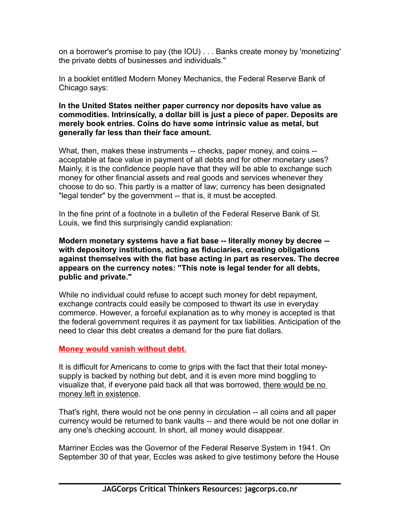on a borrower's promise to pay (the IOU) . . . Banks create money by 'monetizing' the private debts of businesses and individuals."

In a booklet entitled Modern Money Mechanics, the Federal Reserve Bank of Chicago says:

**In the United States neither paper currency nor deposits have value as commodities. Intrinsically, a dollar bill is just a piece of paper. Deposits are merely book entries. Coins do have some intrinsic value as metal, but generally far less than their face amount.**

What, then, makes these instruments -- checks, paper money, and coins -acceptable at face value in payment of all debts and for other monetary uses? Mainly, it is the confidence people have that they will be able to exchange such money for other financial assets and real goods and services whenever they choose to do so. This partly is a matter of law; currency has been designated "legal tender" by the government -- that is, it must be accepted.

In the fine print of a footnote in a bulletin of the Federal Reserve Bank of St. Louis, we find this surprisingly candid explanation:

**Modern monetary systems have a fiat base -- literally money by decree - with depository institutions, acting as fiduciaries, creating obligations against themselves with the fiat base acting in part as reserves. The decree appears on the currency notes: "This note is legal tender for all debts, public and private."**

While no individual could refuse to accept such money for debt repayment, exchange contracts could easily be composed to thwart its use in everyday commerce. However, a forceful explanation as to why money is accepted is that the federal government requires it as payment for tax liabilities. Anticipation of the need to clear this debt creates a demand for the pure fiat dollars.

#### **Money would vanish without debt.**

It is difficult for Americans to come to grips with the fact that their total moneysupply is backed by nothing but debt, and it is even more mind boggling to visualize that, if everyone paid back all that was borrowed, there would be no money left in existence.

That's right, there would not be one penny in circulation -- all coins and all paper currency would be returned to bank vaults -- and there would be not one dollar in any one's checking account. In short, all money would disappear.

Marriner Eccles was the Governor of the Federal Reserve System in 1941. On September 30 of that year, Eccles was asked to give testimony before the House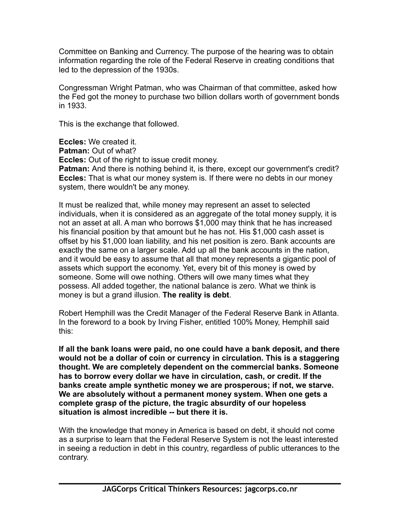Committee on Banking and Currency. The purpose of the hearing was to obtain information regarding the role of the Federal Reserve in creating conditions that led to the depression of the 1930s.

Congressman Wright Patman, who was Chairman of that committee, asked how the Fed got the money to purchase two billion dollars worth of government bonds in 1933.

This is the exchange that followed.

**Eccles:** We created it. **Patman: Out of what? Eccles:** Out of the right to issue credit money. Patman: And there is nothing behind it, is there, except our government's credit? **Eccles:** That is what our money system is. If there were no debts in our money system, there wouldn't be any money.

It must be realized that, while money may represent an asset to selected individuals, when it is considered as an aggregate of the total money supply, it is not an asset at all. A man who borrows \$1,000 may think that he has increased his financial position by that amount but he has not. His \$1,000 cash asset is offset by his \$1,000 loan liability, and his net position is zero. Bank accounts are exactly the same on a larger scale. Add up all the bank accounts in the nation, and it would be easy to assume that all that money represents a gigantic pool of assets which support the economy. Yet, every bit of this money is owed by someone. Some will owe nothing. Others will owe many times what they possess. All added together, the national balance is zero. What we think is money is but a grand illusion. **The reality is debt**.

Robert Hemphill was the Credit Manager of the Federal Reserve Bank in Atlanta. In the foreword to a book by Irving Fisher, entitled 100% Money, Hemphill said this:

**If all the bank loans were paid, no one could have a bank deposit, and there would not be a dollar of coin or currency in circulation. This is a staggering thought. We are completely dependent on the commercial banks. Someone has to borrow every dollar we have in circulation, cash, or credit. If the banks create ample synthetic money we are prosperous; if not, we starve. We are absolutely without a permanent money system. When one gets a complete grasp of the picture, the tragic absurdity of our hopeless situation is almost incredible -- but there it is.**

With the knowledge that money in America is based on debt, it should not come as a surprise to learn that the Federal Reserve System is not the least interested in seeing a reduction in debt in this country, regardless of public utterances to the contrary.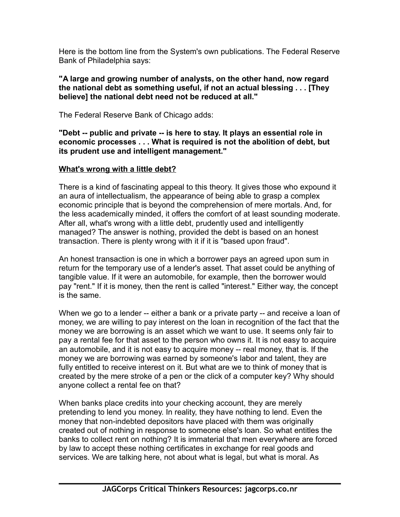Here is the bottom line from the System's own publications. The Federal Reserve Bank of Philadelphia says:

#### **"A large and growing number of analysts, on the other hand, now regard the national debt as something useful, if not an actual blessing . . . [They believe] the national debt need not be reduced at all."**

The Federal Reserve Bank of Chicago adds:

**"Debt -- public and private -- is here to stay. It plays an essential role in economic processes . . . What is required is not the abolition of debt, but its prudent use and intelligent management."**

# **What's wrong with a little debt?**

There is a kind of fascinating appeal to this theory. It gives those who expound it an aura of intellectualism, the appearance of being able to grasp a complex economic principle that is beyond the comprehension of mere mortals. And, for the less academically minded, it offers the comfort of at least sounding moderate. After all, what's wrong with a little debt, prudently used and intelligently managed? The answer is nothing, provided the debt is based on an honest transaction. There is plenty wrong with it if it is "based upon fraud".

An honest transaction is one in which a borrower pays an agreed upon sum in return for the temporary use of a lender's asset. That asset could be anything of tangible value. If it were an automobile, for example, then the borrower would pay "rent." If it is money, then the rent is called "interest." Either way, the concept is the same.

When we go to a lender -- either a bank or a private party -- and receive a loan of money, we are willing to pay interest on the loan in recognition of the fact that the money we are borrowing is an asset which we want to use. It seems only fair to pay a rental fee for that asset to the person who owns it. It is not easy to acquire an automobile, and it is not easy to acquire money -- real money, that is. If the money we are borrowing was earned by someone's labor and talent, they are fully entitled to receive interest on it. But what are we to think of money that is created by the mere stroke of a pen or the click of a computer key? Why should anyone collect a rental fee on that?

When banks place credits into your checking account, they are merely pretending to lend you money. In reality, they have nothing to lend. Even the money that non-indebted depositors have placed with them was originally created out of nothing in response to someone else's loan. So what entitles the banks to collect rent on nothing? It is immaterial that men everywhere are forced by law to accept these nothing certificates in exchange for real goods and services. We are talking here, not about what is legal, but what is moral. As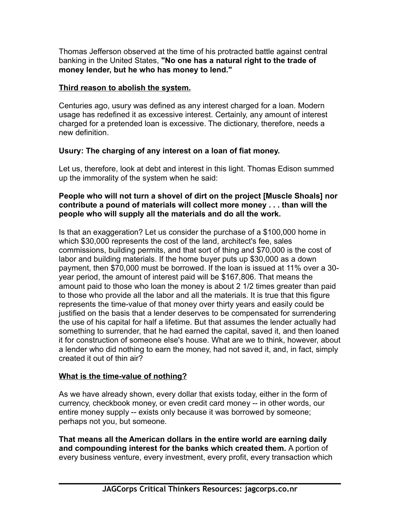Thomas Jefferson observed at the time of his protracted battle against central banking in the United States, **"No one has a natural right to the trade of money lender, but he who has money to lend."**

#### **Third reason to abolish the system.**

Centuries ago, usury was defined as any interest charged for a loan. Modern usage has redefined it as excessive interest. Certainly, any amount of interest charged for a pretended loan is excessive. The dictionary, therefore, needs a new definition.

# **Usury: The charging of any interest on a loan of fiat money.**

Let us, therefore, look at debt and interest in this light. Thomas Edison summed up the immorality of the system when he said:

#### **People who will not turn a shovel of dirt on the project [Muscle Shoals] nor contribute a pound of materials will collect more money . . . than will the people who will supply all the materials and do all the work.**

Is that an exaggeration? Let us consider the purchase of a \$100,000 home in which \$30,000 represents the cost of the land, architect's fee, sales commissions, building permits, and that sort of thing and \$70,000 is the cost of labor and building materials. If the home buyer puts up \$30,000 as a down payment, then \$70,000 must be borrowed. If the loan is issued at 11% over a 30 year period, the amount of interest paid will be \$167,806. That means the amount paid to those who loan the money is about 2 1/2 times greater than paid to those who provide all the labor and all the materials. It is true that this figure represents the time-value of that money over thirty years and easily could be justified on the basis that a lender deserves to be compensated for surrendering the use of his capital for half a lifetime. But that assumes the lender actually had something to surrender, that he had earned the capital, saved it, and then loaned it for construction of someone else's house. What are we to think, however, about a lender who did nothing to earn the money, had not saved it, and, in fact, simply created it out of thin air?

# **What is the time-value of nothing?**

As we have already shown, every dollar that exists today, either in the form of currency, checkbook money, or even credit card money -- in other words, our entire money supply -- exists only because it was borrowed by someone; perhaps not you, but someone.

**That means all the American dollars in the entire world are earning daily and compounding interest for the banks which created them.** A portion of every business venture, every investment, every profit, every transaction which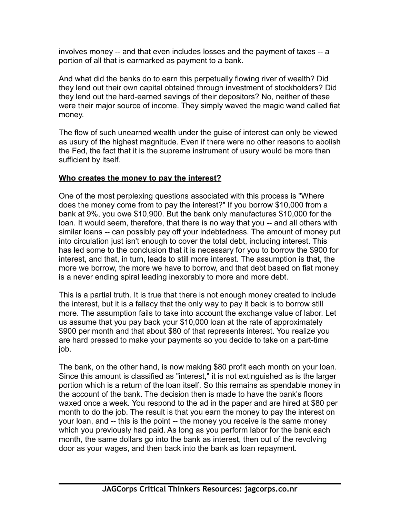involves money -- and that even includes losses and the payment of taxes -- a portion of all that is earmarked as payment to a bank.

And what did the banks do to earn this perpetually flowing river of wealth? Did they lend out their own capital obtained through investment of stockholders? Did they lend out the hard-earned savings of their depositors? No, neither of these were their major source of income. They simply waved the magic wand called fiat money.

The flow of such unearned wealth under the guise of interest can only be viewed as usury of the highest magnitude. Even if there were no other reasons to abolish the Fed, the fact that it is the supreme instrument of usury would be more than sufficient by itself.

#### **Who creates the money to pay the interest?**

One of the most perplexing questions associated with this process is "Where does the money come from to pay the interest?" If you borrow \$10,000 from a bank at 9%, you owe \$10,900. But the bank only manufactures \$10,000 for the loan. It would seem, therefore, that there is no way that you -- and all others with similar loans -- can possibly pay off your indebtedness. The amount of money put into circulation just isn't enough to cover the total debt, including interest. This has led some to the conclusion that it is necessary for you to borrow the \$900 for interest, and that, in turn, leads to still more interest. The assumption is that, the more we borrow, the more we have to borrow, and that debt based on fiat money is a never ending spiral leading inexorably to more and more debt.

This is a partial truth. It is true that there is not enough money created to include the interest, but it is a fallacy that the only way to pay it back is to borrow still more. The assumption fails to take into account the exchange value of labor. Let us assume that you pay back your \$10,000 loan at the rate of approximately \$900 per month and that about \$80 of that represents interest. You realize you are hard pressed to make your payments so you decide to take on a part-time job.

The bank, on the other hand, is now making \$80 profit each month on your loan. Since this amount is classified as "interest," it is not extinguished as is the larger portion which is a return of the loan itself. So this remains as spendable money in the account of the bank. The decision then is made to have the bank's floors waxed once a week. You respond to the ad in the paper and are hired at \$80 per month to do the job. The result is that you earn the money to pay the interest on your loan, and -- this is the point -- the money you receive is the same money which you previously had paid. As long as you perform labor for the bank each month, the same dollars go into the bank as interest, then out of the revolving door as your wages, and then back into the bank as loan repayment.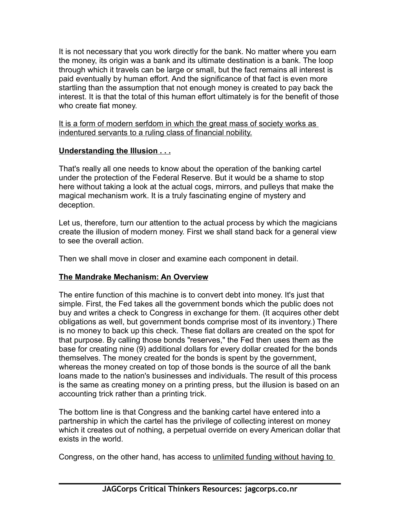It is not necessary that you work directly for the bank. No matter where you earn the money, its origin was a bank and its ultimate destination is a bank. The loop through which it travels can be large or small, but the fact remains all interest is paid eventually by human effort. And the significance of that fact is even more startling than the assumption that not enough money is created to pay back the interest. It is that the total of this human effort ultimately is for the benefit of those who create fiat money.

It is a form of modern serfdom in which the great mass of society works as indentured servants to a ruling class of financial nobility.

#### **Understanding the Illusion . . .**

That's really all one needs to know about the operation of the banking cartel under the protection of the Federal Reserve. But it would be a shame to stop here without taking a look at the actual cogs, mirrors, and pulleys that make the magical mechanism work. It is a truly fascinating engine of mystery and deception.

Let us, therefore, turn our attention to the actual process by which the magicians create the illusion of modern money. First we shall stand back for a general view to see the overall action.

Then we shall move in closer and examine each component in detail.

# **The Mandrake Mechanism: An Overview**

The entire function of this machine is to convert debt into money. It's just that simple. First, the Fed takes all the government bonds which the public does not buy and writes a check to Congress in exchange for them. (It acquires other debt obligations as well, but government bonds comprise most of its inventory.) There is no money to back up this check. These fiat dollars are created on the spot for that purpose. By calling those bonds "reserves," the Fed then uses them as the base for creating nine (9) additional dollars for every dollar created for the bonds themselves. The money created for the bonds is spent by the government, whereas the money created on top of those bonds is the source of all the bank loans made to the nation's businesses and individuals. The result of this process is the same as creating money on a printing press, but the illusion is based on an accounting trick rather than a printing trick.

The bottom line is that Congress and the banking cartel have entered into a partnership in which the cartel has the privilege of collecting interest on money which it creates out of nothing, a perpetual override on every American dollar that exists in the world.

Congress, on the other hand, has access to unlimited funding without having to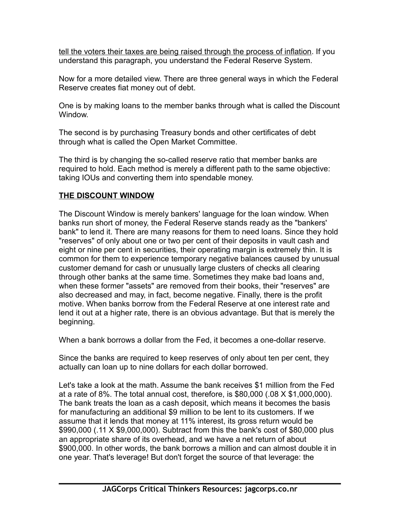tell the voters their taxes are being raised through the process of inflation. If you understand this paragraph, you understand the Federal Reserve System.

Now for a more detailed view. There are three general ways in which the Federal Reserve creates fiat money out of debt.

One is by making loans to the member banks through what is called the Discount Window.

The second is by purchasing Treasury bonds and other certificates of debt through what is called the Open Market Committee.

The third is by changing the so-called reserve ratio that member banks are required to hold. Each method is merely a different path to the same objective: taking IOUs and converting them into spendable money.

# **THE DISCOUNT WINDOW**

The Discount Window is merely bankers' language for the loan window. When banks run short of money, the Federal Reserve stands ready as the "bankers' bank" to lend it. There are many reasons for them to need loans. Since they hold "reserves" of only about one or two per cent of their deposits in vault cash and eight or nine per cent in securities, their operating margin is extremely thin. It is common for them to experience temporary negative balances caused by unusual customer demand for cash or unusually large clusters of checks all clearing through other banks at the same time. Sometimes they make bad loans and, when these former "assets" are removed from their books, their "reserves" are also decreased and may, in fact, become negative. Finally, there is the profit motive. When banks borrow from the Federal Reserve at one interest rate and lend it out at a higher rate, there is an obvious advantage. But that is merely the beginning.

When a bank borrows a dollar from the Fed, it becomes a one-dollar reserve.

Since the banks are required to keep reserves of only about ten per cent, they actually can loan up to nine dollars for each dollar borrowed.

Let's take a look at the math. Assume the bank receives \$1 million from the Fed at a rate of 8%. The total annual cost, therefore, is \$80,000 (.08 X \$1,000,000). The bank treats the loan as a cash deposit, which means it becomes the basis for manufacturing an additional \$9 million to be lent to its customers. If we assume that it lends that money at 11% interest, its gross return would be \$990,000 (.11 X \$9,000,000). Subtract from this the bank's cost of \$80,000 plus an appropriate share of its overhead, and we have a net return of about \$900,000. In other words, the bank borrows a million and can almost double it in one year. That's leverage! But don't forget the source of that leverage: the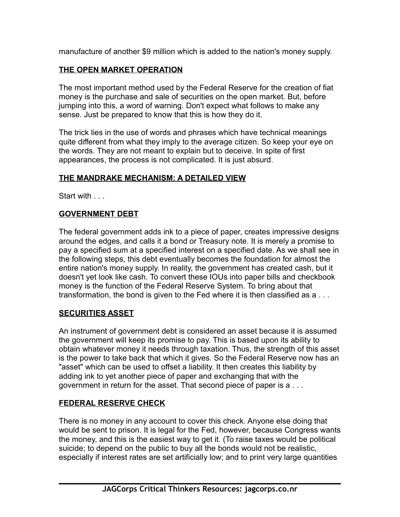manufacture of another \$9 million which is added to the nation's money supply.

# **THE OPEN MARKET OPERATION**

The most important method used by the Federal Reserve for the creation of fiat money is the purchase and sale of securities on the open market. But, before jumping into this, a word of warning. Don't expect what follows to make any sense. Just be prepared to know that this is how they do it.

The trick lies in the use of words and phrases which have technical meanings quite different from what they imply to the average citizen. So keep your eye on the words. They are not meant to explain but to deceive. In spite of first appearances, the process is not complicated. It is just absurd.

# **THE MANDRAKE MECHANISM: A DETAILED VIEW**

Start with . . .

# **GOVERNMENT DEBT**

The federal government adds ink to a piece of paper, creates impressive designs around the edges, and calls it a bond or Treasury note. It is merely a promise to pay a specified sum at a specified interest on a specified date. As we shall see in the following steps, this debt eventually becomes the foundation for almost the entire nation's money supply. In reality, the government has created cash, but it doesn't yet look like cash. To convert these IOUs into paper bills and checkbook money is the function of the Federal Reserve System. To bring about that transformation, the bond is given to the Fed where it is then classified as a . . .

#### **SECURITIES ASSET**

An instrument of government debt is considered an asset because it is assumed the government will keep its promise to pay. This is based upon its ability to obtain whatever money it needs through taxation. Thus, the strength of this asset is the power to take back that which it gives. So the Federal Reserve now has an "asset" which can be used to offset a liability. It then creates this liability by adding ink to yet another piece of paper and exchanging that with the government in return for the asset. That second piece of paper is a . . .

# **FEDERAL RESERVE CHECK**

There is no money in any account to cover this check. Anyone else doing that would be sent to prison. It is legal for the Fed, however, because Congress wants the money, and this is the easiest way to get it. (To raise taxes would be political suicide; to depend on the public to buy all the bonds would not be realistic, especially if interest rates are set artificially low; and to print very large quantities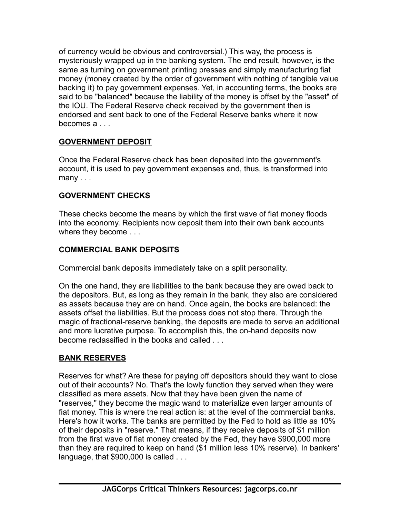of currency would be obvious and controversial.) This way, the process is mysteriously wrapped up in the banking system. The end result, however, is the same as turning on government printing presses and simply manufacturing fiat money (money created by the order of government with nothing of tangible value backing it) to pay government expenses. Yet, in accounting terms, the books are said to be "balanced" because the liability of the money is offset by the "asset" of the IOU. The Federal Reserve check received by the government then is endorsed and sent back to one of the Federal Reserve banks where it now becomes a

# **GOVERNMENT DEPOSIT**

Once the Federal Reserve check has been deposited into the government's account, it is used to pay government expenses and, thus, is transformed into many . . .

# **GOVERNMENT CHECKS**

These checks become the means by which the first wave of fiat money floods into the economy. Recipients now deposit them into their own bank accounts where they become . . .

# **COMMERCIAL BANK DEPOSITS**

Commercial bank deposits immediately take on a split personality.

On the one hand, they are liabilities to the bank because they are owed back to the depositors. But, as long as they remain in the bank, they also are considered as assets because they are on hand. Once again, the books are balanced: the assets offset the liabilities. But the process does not stop there. Through the magic of fractional-reserve banking, the deposits are made to serve an additional and more lucrative purpose. To accomplish this, the on-hand deposits now become reclassified in the books and called . . .

# **BANK RESERVES**

Reserves for what? Are these for paying off depositors should they want to close out of their accounts? No. That's the lowly function they served when they were classified as mere assets. Now that they have been given the name of "reserves," they become the magic wand to materialize even larger amounts of fiat money. This is where the real action is: at the level of the commercial banks. Here's how it works. The banks are permitted by the Fed to hold as little as 10% of their deposits in "reserve." That means, if they receive deposits of \$1 million from the first wave of fiat money created by the Fed, they have \$900,000 more than they are required to keep on hand (\$1 million less 10% reserve). In bankers' language, that \$900,000 is called . . .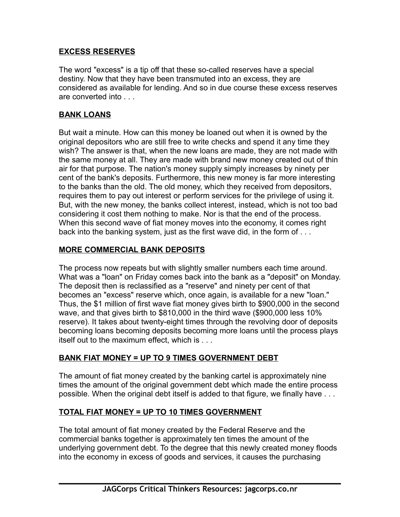#### **EXCESS RESERVES**

The word "excess" is a tip off that these so-called reserves have a special destiny. Now that they have been transmuted into an excess, they are considered as available for lending. And so in due course these excess reserves are converted into . . .

# **BANK LOANS**

But wait a minute. How can this money be loaned out when it is owned by the original depositors who are still free to write checks and spend it any time they wish? The answer is that, when the new loans are made, they are not made with the same money at all. They are made with brand new money created out of thin air for that purpose. The nation's money supply simply increases by ninety per cent of the bank's deposits. Furthermore, this new money is far more interesting to the banks than the old. The old money, which they received from depositors, requires them to pay out interest or perform services for the privilege of using it. But, with the new money, the banks collect interest, instead, which is not too bad considering it cost them nothing to make. Nor is that the end of the process. When this second wave of fiat money moves into the economy, it comes right back into the banking system, just as the first wave did, in the form of . . .

#### **MORE COMMERCIAL BANK DEPOSITS**

The process now repeats but with slightly smaller numbers each time around. What was a "loan" on Friday comes back into the bank as a "deposit" on Monday. The deposit then is reclassified as a "reserve" and ninety per cent of that becomes an "excess" reserve which, once again, is available for a new "loan." Thus, the \$1 million of first wave fiat money gives birth to \$900,000 in the second wave, and that gives birth to \$810,000 in the third wave (\$900,000 less 10% reserve). It takes about twenty-eight times through the revolving door of deposits becoming loans becoming deposits becoming more loans until the process plays itself out to the maximum effect, which is . . .

#### **BANK FIAT MONEY = UP TO 9 TIMES GOVERNMENT DEBT**

The amount of fiat money created by the banking cartel is approximately nine times the amount of the original government debt which made the entire process possible. When the original debt itself is added to that figure, we finally have . . .

#### **TOTAL FIAT MONEY = UP TO 10 TIMES GOVERNMENT**

The total amount of fiat money created by the Federal Reserve and the commercial banks together is approximately ten times the amount of the underlying government debt. To the degree that this newly created money floods into the economy in excess of goods and services, it causes the purchasing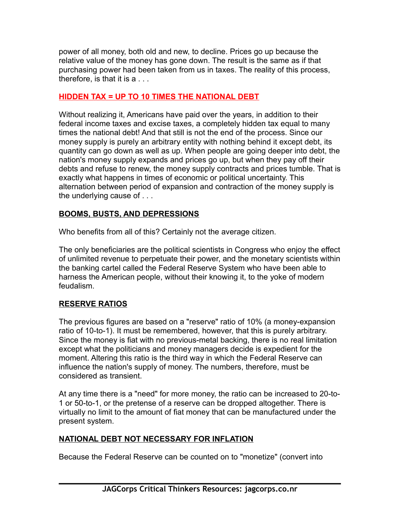power of all money, both old and new, to decline. Prices go up because the relative value of the money has gone down. The result is the same as if that purchasing power had been taken from us in taxes. The reality of this process, therefore, is that it is a . . .

#### **HIDDEN TAX = UP TO 10 TIMES THE NATIONAL DEBT**

Without realizing it, Americans have paid over the years, in addition to their federal income taxes and excise taxes, a completely hidden tax equal to many times the national debt! And that still is not the end of the process. Since our money supply is purely an arbitrary entity with nothing behind it except debt, its quantity can go down as well as up. When people are going deeper into debt, the nation's money supply expands and prices go up, but when they pay off their debts and refuse to renew, the money supply contracts and prices tumble. That is exactly what happens in times of economic or political uncertainty. This alternation between period of expansion and contraction of the money supply is the underlying cause of . . .

#### **BOOMS, BUSTS, AND DEPRESSIONS**

Who benefits from all of this? Certainly not the average citizen.

The only beneficiaries are the political scientists in Congress who enjoy the effect of unlimited revenue to perpetuate their power, and the monetary scientists within the banking cartel called the Federal Reserve System who have been able to harness the American people, without their knowing it, to the yoke of modern feudalism.

#### **RESERVE RATIOS**

The previous figures are based on a "reserve" ratio of 10% (a money-expansion ratio of 10-to-1). It must be remembered, however, that this is purely arbitrary. Since the money is fiat with no previous-metal backing, there is no real limitation except what the politicians and money managers decide is expedient for the moment. Altering this ratio is the third way in which the Federal Reserve can influence the nation's supply of money. The numbers, therefore, must be considered as transient.

At any time there is a "need" for more money, the ratio can be increased to 20-to-1 or 50-to-1, or the pretense of a reserve can be dropped altogether. There is virtually no limit to the amount of fiat money that can be manufactured under the present system.

#### **NATIONAL DEBT NOT NECESSARY FOR INFLATION**

Because the Federal Reserve can be counted on to "monetize" (convert into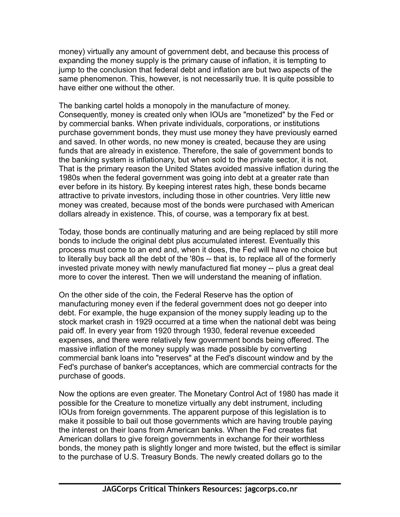money) virtually any amount of government debt, and because this process of expanding the money supply is the primary cause of inflation, it is tempting to jump to the conclusion that federal debt and inflation are but two aspects of the same phenomenon. This, however, is not necessarily true. It is quite possible to have either one without the other.

The banking cartel holds a monopoly in the manufacture of money. Consequently, money is created only when IOUs are "monetized" by the Fed or by commercial banks. When private individuals, corporations, or institutions purchase government bonds, they must use money they have previously earned and saved. In other words, no new money is created, because they are using funds that are already in existence. Therefore, the sale of government bonds to the banking system is inflationary, but when sold to the private sector, it is not. That is the primary reason the United States avoided massive inflation during the 1980s when the federal government was going into debt at a greater rate than ever before in its history. By keeping interest rates high, these bonds became attractive to private investors, including those in other countries. Very little new money was created, because most of the bonds were purchased with American dollars already in existence. This, of course, was a temporary fix at best.

Today, those bonds are continually maturing and are being replaced by still more bonds to include the original debt plus accumulated interest. Eventually this process must come to an end and, when it does, the Fed will have no choice but to literally buy back all the debt of the '80s -- that is, to replace all of the formerly invested private money with newly manufactured fiat money -- plus a great deal more to cover the interest. Then we will understand the meaning of inflation.

On the other side of the coin, the Federal Reserve has the option of manufacturing money even if the federal government does not go deeper into debt. For example, the huge expansion of the money supply leading up to the stock market crash in 1929 occurred at a time when the national debt was being paid off. In every year from 1920 through 1930, federal revenue exceeded expenses, and there were relatively few government bonds being offered. The massive inflation of the money supply was made possible by converting commercial bank loans into "reserves" at the Fed's discount window and by the Fed's purchase of banker's acceptances, which are commercial contracts for the purchase of goods.

Now the options are even greater. The Monetary Control Act of 1980 has made it possible for the Creature to monetize virtually any debt instrument, including IOUs from foreign governments. The apparent purpose of this legislation is to make it possible to bail out those governments which are having trouble paying the interest on their loans from American banks. When the Fed creates fiat American dollars to give foreign governments in exchange for their worthless bonds, the money path is slightly longer and more twisted, but the effect is similar to the purchase of U.S. Treasury Bonds. The newly created dollars go to the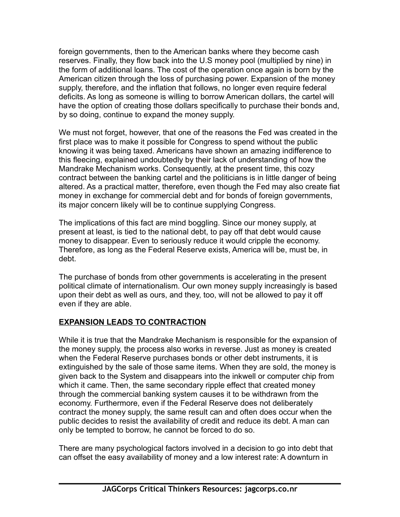foreign governments, then to the American banks where they become cash reserves. Finally, they flow back into the U.S money pool (multiplied by nine) in the form of additional loans. The cost of the operation once again is born by the American citizen through the loss of purchasing power. Expansion of the money supply, therefore, and the inflation that follows, no longer even require federal deficits. As long as someone is willing to borrow American dollars, the cartel will have the option of creating those dollars specifically to purchase their bonds and, by so doing, continue to expand the money supply.

We must not forget, however, that one of the reasons the Fed was created in the first place was to make it possible for Congress to spend without the public knowing it was being taxed. Americans have shown an amazing indifference to this fleecing, explained undoubtedly by their lack of understanding of how the Mandrake Mechanism works. Consequently, at the present time, this cozy contract between the banking cartel and the politicians is in little danger of being altered. As a practical matter, therefore, even though the Fed may also create fiat money in exchange for commercial debt and for bonds of foreign governments, its major concern likely will be to continue supplying Congress.

The implications of this fact are mind boggling. Since our money supply, at present at least, is tied to the national debt, to pay off that debt would cause money to disappear. Even to seriously reduce it would cripple the economy. Therefore, as long as the Federal Reserve exists, America will be, must be, in debt.

The purchase of bonds from other governments is accelerating in the present political climate of internationalism. Our own money supply increasingly is based upon their debt as well as ours, and they, too, will not be allowed to pay it off even if they are able.

# **EXPANSION LEADS TO CONTRACTION**

While it is true that the Mandrake Mechanism is responsible for the expansion of the money supply, the process also works in reverse. Just as money is created when the Federal Reserve purchases bonds or other debt instruments, it is extinguished by the sale of those same items. When they are sold, the money is given back to the System and disappears into the inkwell or computer chip from which it came. Then, the same secondary ripple effect that created money through the commercial banking system causes it to be withdrawn from the economy. Furthermore, even if the Federal Reserve does not deliberately contract the money supply, the same result can and often does occur when the public decides to resist the availability of credit and reduce its debt. A man can only be tempted to borrow, he cannot be forced to do so.

There are many psychological factors involved in a decision to go into debt that can offset the easy availability of money and a low interest rate: A downturn in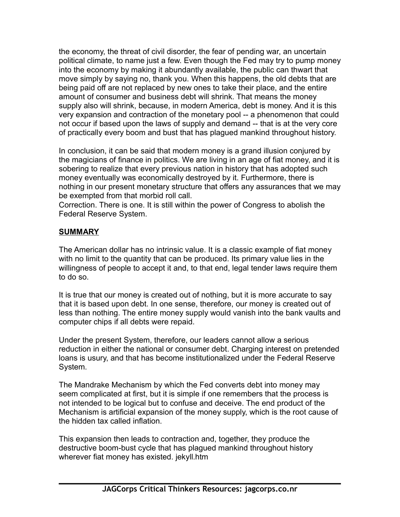the economy, the threat of civil disorder, the fear of pending war, an uncertain political climate, to name just a few. Even though the Fed may try to pump money into the economy by making it abundantly available, the public can thwart that move simply by saying no, thank you. When this happens, the old debts that are being paid off are not replaced by new ones to take their place, and the entire amount of consumer and business debt will shrink. That means the money supply also will shrink, because, in modern America, debt is money. And it is this very expansion and contraction of the monetary pool -- a phenomenon that could not occur if based upon the laws of supply and demand -- that is at the very core of practically every boom and bust that has plagued mankind throughout history.

In conclusion, it can be said that modern money is a grand illusion conjured by the magicians of finance in politics. We are living in an age of fiat money, and it is sobering to realize that every previous nation in history that has adopted such money eventually was economically destroyed by it. Furthermore, there is nothing in our present monetary structure that offers any assurances that we may be exempted from that morbid roll call.

Correction. There is one. It is still within the power of Congress to abolish the Federal Reserve System.

#### **SUMMARY**

The American dollar has no intrinsic value. It is a classic example of fiat money with no limit to the quantity that can be produced. Its primary value lies in the willingness of people to accept it and, to that end, legal tender laws require them to do so.

It is true that our money is created out of nothing, but it is more accurate to say that it is based upon debt. In one sense, therefore, our money is created out of less than nothing. The entire money supply would vanish into the bank vaults and computer chips if all debts were repaid.

Under the present System, therefore, our leaders cannot allow a serious reduction in either the national or consumer debt. Charging interest on pretended loans is usury, and that has become institutionalized under the Federal Reserve System.

The Mandrake Mechanism by which the Fed converts debt into money may seem complicated at first, but it is simple if one remembers that the process is not intended to be logical but to confuse and deceive. The end product of the Mechanism is artificial expansion of the money supply, which is the root cause of the hidden tax called inflation.

This expansion then leads to contraction and, together, they produce the destructive boom-bust cycle that has plagued mankind throughout history wherever fiat money has existed. jekyll.htm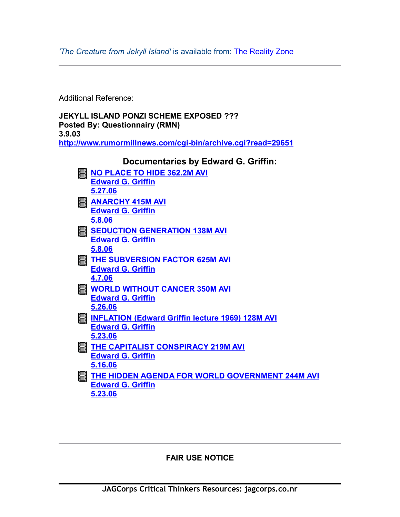*'The Creature from Jekyll Island'* is available from: [The Reality](http://www.realityzone.com/) Zone

Additional Reference:

**JEKYLL ISLAND PONZI SCHEME EXPOSED ??? Posted By: Questionnairy (RMN) 3.9.03 <http://www.rumormillnews.com/cgi-bin/archive.cgi?read=29651>**

**Documentaries by Edward G. Griffin: [NO PLACE TO HIDE 362.2M](http://88.191.22.53/Documentaries/Edward G. Griffin/Edward-Griffin_-_No-Place-To-Hide.avi) AVI [Edward G. Griffin](http://88.191.22.53/Documentaries/Edward G. Griffin/Edward-Griffin_-_No-Place-To-Hide.avi) [5.27.06](http://88.191.22.53/Documentaries/Edward G. Griffin/Edward-Griffin_-_No-Place-To-Hide.avi) [ANARCHY 415M](http://88.191.22.53/Documentaries/Edward G. Griffin/Edward Griffin - Anarchy USA/) AVI [Edward G. Griffin](http://88.191.22.53/Documentaries/Edward G. Griffin/Edward Griffin - Anarchy USA/) [5.8.06](http://88.191.22.53/Documentaries/Edward G. Griffin/Edward Griffin - Anarchy USA/) [SEDUCTION GENERATION 138M AVI](http://88.191.22.53/Documentaries/Edward G. Griffin/Edward Griffin - Seduction Of A Generation/) [Edward G. Griffin](http://88.191.22.53/Documentaries/Edward G. Griffin/Edward Griffin - Seduction Of A Generation/) [5.8.06](http://88.191.22.53/Documentaries/Edward G. Griffin/Edward Griffin - Seduction Of A Generation/) [THE SUBVERSION FACTOR 625M AVI](http://88.191.22.53/Documentaries/Edward G. Griffin/Edward Griffin - The Subversion Factor/) [Edward G. Griffin](http://88.191.22.53/Documentaries/Edward G. Griffin/Edward Griffin - The Subversion Factor/) [4.7.06](http://88.191.22.53/Documentaries/Edward G. Griffin/Edward Griffin - The Subversion Factor/) WORLD WITHOUT [CANCER 350M AVI](http://88.191.22.53/Documentaries/Edward G. Griffin/Edward Griffin - World Without Cancer/) [Edward G. Griffin](http://88.191.22.53/Documentaries/Edward G. Griffin/Edward Griffin - World Without Cancer/) [5.26.06](http://88.191.22.53/Documentaries/Edward G. Griffin/Edward Griffin - World Without Cancer/) [INFLATION \(Edward Griffin lecture 1969\) 128M AVI](http://88.191.22.53/Documentaries/Edward G. Griffin/Inflation (Edward Griffin lecture) (1969)/) [Edward G. Griffin](http://88.191.22.53/Documentaries/Edward G. Griffin/Inflation (Edward Griffin lecture) (1969)/) [5.23.06](http://88.191.22.53/Documentaries/Edward G. Griffin/Inflation (Edward Griffin lecture) (1969)/) [THE CAPITALIST CONSPIRACY](http://88.191.22.53/Documentaries/Edward G. Griffin/The Capitalist Conspiracy/) 219M AVI [Edward G. Griffin](http://88.191.22.53/Documentaries/Edward G. Griffin/The Capitalist Conspiracy/) [5.16.06](http://88.191.22.53/Documentaries/Edward G. Griffin/The Capitalist Conspiracy/) [THE HIDDEN AGENDA FOR WORLD GOVERNMENT](http://88.191.22.53/Documentaries/Edward G. Griffin/The Hidden Agenda.For World Government (G Edward Griffin)/) 244M AVI [Edward G. Griffin](http://88.191.22.53/Documentaries/Edward G. Griffin/The Hidden Agenda.For World Government (G Edward Griffin)/) [5.23.06](http://88.191.22.53/Documentaries/Edward G. Griffin/The Hidden Agenda.For World Government (G Edward Griffin)/)**

**FAIR USE NOTICE**